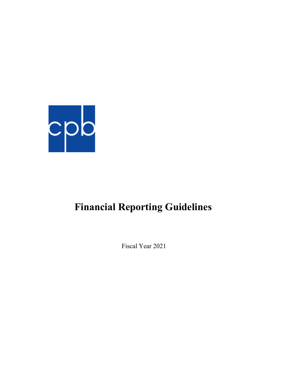

# **Financial Reporting Guidelines**

Fiscal Year 2021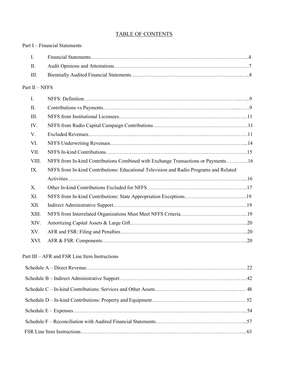# TABLE OF CONTENTS

# Part I – Financial Statements

# Part II – NFFS

| I.    |                                                                                                                                                                                                                               |        |
|-------|-------------------------------------------------------------------------------------------------------------------------------------------------------------------------------------------------------------------------------|--------|
| II.   |                                                                                                                                                                                                                               |        |
| III.  |                                                                                                                                                                                                                               |        |
| IV.   |                                                                                                                                                                                                                               |        |
| V.    |                                                                                                                                                                                                                               |        |
| VI.   |                                                                                                                                                                                                                               |        |
| VII.  |                                                                                                                                                                                                                               |        |
| VIII. | NFFS from In-kind Contributions Combined with Exchange Transactions or Payments16                                                                                                                                             |        |
| IX.   | NFFS from In-kind Contributions: Educational Television and Radio Programs and Related                                                                                                                                        |        |
|       |                                                                                                                                                                                                                               |        |
| X.    |                                                                                                                                                                                                                               |        |
| XI.   |                                                                                                                                                                                                                               |        |
| XII.  |                                                                                                                                                                                                                               |        |
| XIII. |                                                                                                                                                                                                                               |        |
| XIV.  |                                                                                                                                                                                                                               |        |
| XV.   |                                                                                                                                                                                                                               |        |
| XVI.  |                                                                                                                                                                                                                               |        |
|       | Part III - AFR and FSR Line Item Instructions                                                                                                                                                                                 |        |
|       | $C_1$ $C_2$ $C_3$ $C_4$ $C_5$ $C_6$ $C_7$ $C_8$ $C_9$ $C_9$ $C_9$ $C_9$ $C_9$ $C_9$ $C_9$ $C_9$ $C_9$ $C_9$ $C_9$ $C_9$ $C_9$ $C_9$ $C_9$ $C_9$ $C_9$ $C_9$ $C_9$ $C_9$ $C_9$ $C_9$ $C_9$ $C_9$ $C_9$ $C_9$ $C_9$ $C_9$ $C_9$ | $\sim$ |
|       |                                                                                                                                                                                                                               |        |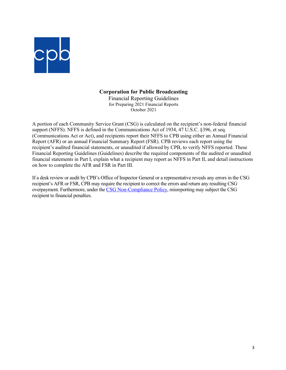

# **Corporation for Public Broadcasting**

Financial Reporting Guidelines for Preparing 2021 Financial Reports October 2021

A portion of each Community Service Grant (CSG) is calculated on the recipient's non-federal financial support (NFFS). NFFS is defined in the Communications Act of 1934, 47 U.S.C. §396, et seq. (Communications Act or Act), and recipients report their NFFS to CPB using either an Annual Financial Report (AFR) or an annual Financial Summary Report (FSR). CPB reviews each report using the recipient's audited financial statements, or unaudited if allowed by CPB, to verify NFFS reported. These Financial Reporting Guidelines (Guidelines) describe the required components of the audited or unaudited financial statements in Part I, explain what a recipient may report as NFFS in Part II, and detail instructions on how to complete the AFR and FSR in Part III.

If a desk review or audit by CPB's Office of Inspector General or a representative reveals any errors in the CSG recipient's AFR or FSR, CPB may require the recipient to correct the errors and return any resulting CSG overpayment. Furthermore, under th[e CSG Non-Compliance Policy,](https://www.cpb.org/stations/non-compliance) misreporting may subject the CSG recipient to financial penalties.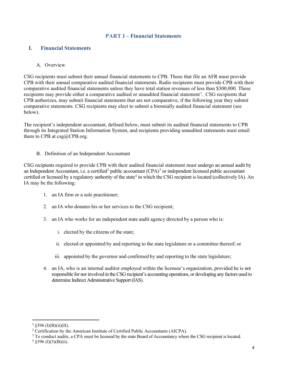# **PART I – Financial Statements**

# **I. Financial Statements**

# A. Overview

CSG recipients must submit their annual financial statements to CPB. Those that file an AFR must provide CPB with their annual comparative audited financial statements. Radio recipients must provide CPB with their comparative audited financial statements unless they have total station revenues of less than \$300,000. These recipients may provide either a comparative audited or unaudited financial statement<sup>[1](#page-3-0)</sup>. CSG recipients that CPB authorizes, may submit financial statements that are not comparative, if the following year they submit comparative statements. CSG recipients may elect to submit a biennially audited financial statement (see below).

The recipient's independent accountant, defined below, must submit its audited financial statements to CPB through its Integrated Station Information System, and recipients providing unaudited statements must email them to CPB at csg@CPB.org.

# B. Definition of an Independent Accountant

CSG recipients required to provide CPB with their audited financial statement must undergo an annual audit by an Independent Accountant, i.e. a certified<sup>[2](#page-3-1)</sup> public accountant (CPA)<sup>[3](#page-3-2)</sup> or independent licensed public accountant certified or licensed by a regulatory authority of the state<sup>[4](#page-3-3)</sup> in which the CSG recipient is located (collectively IA). An IA may be the following:

- 1. an IA firm or a sole practitioner;
- 2. an IA who donates his or her services to the CSG recipient;
- 3. an IA who works for an independent state audit agency directed by a person who is:
	- i. elected by the citizens of the state;
	- ii. elected or appointed by and reporting to the state legislature or a committee thereof; or
	- iii. appointed by the governor and confirmed by and reporting to the state legislature;
- 4. an IA, who is an internal auditor employed within the licensee's organization, provided he is not responsible for nor involved in the CSG recipient's accounting operations, or developing any factors used to determine Indirect Administrative Support (IAS).

<span id="page-3-0"></span> $1$  §396 (l)(B)(ii)(II).

<span id="page-3-1"></span> $2$  Certification by the American Institute of Certified Public Accountants (AICPA).

<span id="page-3-2"></span><sup>&</sup>lt;sup>3</sup> To conduct audits, a CPA must be licensed by the state Board of Accountancy where the CSG recipient is located.

<span id="page-3-3"></span> $4 \text{ } $396 \text{ (l)(3)(B)(ii)}.$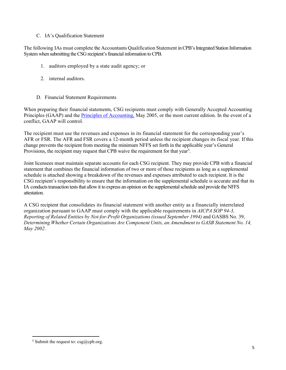# C. IA's Qualification Statement

The following IAs must complete the Accountants Qualification Statement in CPB's Integrated Station Information System when submitting the CSG recipient's financial information to CPB.

- 1. auditors employed by a state audit agency; or
- 2. internal auditors.
- D. Financial Statement Requirements

When preparing their financial statements, CSG recipients must comply with Generally Accepted Accounting Principles (GAAP) and the *Principles of Accounting*, May 2005, or the most current edition. In the event of a conflict, GAAP will control.

The recipient must use the revenues and expenses in its financial statement for the corresponding year's AFR or FSR. The AFR and FSR covers a 12-month period unless the recipient changes its fiscal year. If this change prevents the recipient from meeting the minimum NFFS set forth in the applicable year's General Provisions, the recipient may request that CPB waive the requirement for that year<sup>5</sup>.

Joint licensees must maintain separate accounts for each CSG recipient. They may provide CPB with a financial statement that combines the financial information of two or more of those recipients as long as a supplemental schedule is attached showing a breakdown of the revenues and expenses attributed to each recipient. It is the CSG recipient's responsibility to ensure that the information on the supplemental schedule is accurate and that its IA conducts transaction tests that allow it to express an opinion on the supplemental schedule and provide the NFFS attestation.

A CSG recipient that consolidates its financial statement with another entity as a financially interrelated organization pursuant to GAAP must comply with the applicable requirements in *AICPA SOP 94-3, Reporting of Related Entities by Not-for-Profit Organizations (issued September 1994)* and GASBS No. 39, *Determining Whether Certain Organizations Are Component Units, an Amendment to GASB Statement No. 14, May 2002*.

<span id="page-4-0"></span><sup>&</sup>lt;sup>5</sup> Submit the request to:  $csg(\omega$ cpb.org.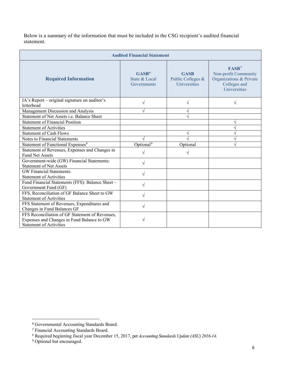Below is a summary of the information that must be included in the CSG recipient's audited financial statement.

| <b>Audited Financial Statement</b>                                                                                              |                                                   |                                                         |                                                                                                      |  |
|---------------------------------------------------------------------------------------------------------------------------------|---------------------------------------------------|---------------------------------------------------------|------------------------------------------------------------------------------------------------------|--|
| <b>Required Information</b>                                                                                                     | GASB <sup>6</sup><br>State & Local<br>Governments | <b>GASB</b><br>Public Colleges &<br><b>Universities</b> | FASB <sup>7</sup><br>Non-profit Community<br>Organizations & Private<br>Colleges and<br>Universities |  |
| IA's Report – original signature on auditor's<br>letterhead                                                                     | $\sqrt{ }$                                        | V                                                       | V                                                                                                    |  |
| Management Discussion and Analysis                                                                                              | N                                                 |                                                         |                                                                                                      |  |
| Statement of Net Assets <i>i.e.</i> Balance Sheet                                                                               |                                                   |                                                         |                                                                                                      |  |
| <b>Statement of Financial Position</b>                                                                                          |                                                   |                                                         | ٦                                                                                                    |  |
| <b>Statement of Activities</b>                                                                                                  |                                                   |                                                         |                                                                                                      |  |
| <b>Statement of Cash Flows</b>                                                                                                  |                                                   |                                                         |                                                                                                      |  |
| Notes to Financial Statements                                                                                                   |                                                   |                                                         |                                                                                                      |  |
| Statement of Functional Expenses <sup>8</sup>                                                                                   | Optional <sup>9</sup>                             | Optional                                                |                                                                                                      |  |
| Statement of Revenues, Expenses and Changes in<br><b>Fund Net Assets</b>                                                        | $\sqrt{}$                                         |                                                         |                                                                                                      |  |
| Government-wide (GW) Financial Statements:<br><b>Statement of Net Assets</b>                                                    | $\sqrt{ }$                                        |                                                         |                                                                                                      |  |
| <b>GW Financial Statements:</b><br><b>Statement of Activities</b>                                                               | $\sqrt{}$                                         |                                                         |                                                                                                      |  |
| Fund Financial Statements (FFS): Balance Sheet-<br>Government Fund (GF)                                                         | $\sqrt{}$                                         |                                                         |                                                                                                      |  |
| FFS, Reconciliation of GF Balance Sheet to GW<br><b>Statement of Activities</b>                                                 | N                                                 |                                                         |                                                                                                      |  |
| FFS Statement of Revenues, Expenditures and<br>Changes in Fund Balances GF                                                      | N                                                 |                                                         |                                                                                                      |  |
| FFS Reconciliation of GF Statement of Revenues,<br>Expenses and Changes in Fund Balance to GW<br><b>Statement of Activities</b> |                                                   |                                                         |                                                                                                      |  |

<span id="page-5-0"></span><sup>6</sup> Governmental Accounting Standards Board.

<span id="page-5-1"></span><sup>&</sup>lt;sup>7</sup> Financial Accounting Standards Board.

<span id="page-5-2"></span><sup>8</sup> Required beginning fiscal year December 15, 2017, per *Accounting Standards Update (ASU) 2016-14.*

<span id="page-5-3"></span><sup>&</sup>lt;sup>9</sup> Optional but encouraged.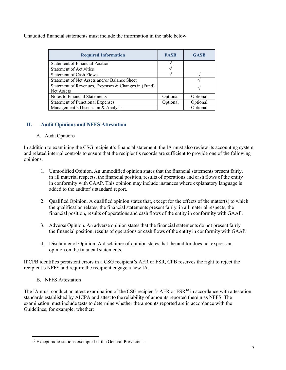Unaudited financial statements must include the information in the table below.

| <b>Required Information</b>                         | <b>FASB</b> | <b>GASB</b> |
|-----------------------------------------------------|-------------|-------------|
| <b>Statement of Financial Position</b>              |             |             |
| <b>Statement of Activities</b>                      |             |             |
| <b>Statement of Cash Flows</b>                      |             |             |
| Statement of Net Assets and/or Balance Sheet        |             |             |
| Statement of Revenues, Expenses & Changes in (Fund) |             |             |
| Net Assets                                          |             |             |
| Notes to Financial Statements                       | Optional    | Optional    |
| <b>Statement of Functional Expenses</b>             | Optional    | Optional    |
| Management's Discussion & Analysis                  |             | Optional    |

# **II. Audit Opinions and NFFS Attestation**

# A. Audit Opinions

In addition to examining the CSG recipient's financial statement, the IA must also review its accounting system and related internal controls to ensure that the recipient's records are sufficient to provide one of the following opinions.

- 1. Unmodified Opinion. An unmodified opinion states that the financial statements present fairly, in all material respects, the financial position, results of operations and cash flows of the entity in conformity with GAAP. This opinion may include instances where explanatory language is added to the auditor's standard report.
- 2. Qualified Opinion. A qualified opinion states that, except for the effects of the matter(s) to which the qualification relates, the financial statements present fairly, in all material respects, the financial position, results of operations and cash flows of the entity in conformity with GAAP.
- 3. Adverse Opinion. An adverse opinion states that the financial statements do not present fairly the financial position, results of operations or cash flows of the entity in conformity with GAAP.
- 4. Disclaimer of Opinion. A disclaimer of opinion states that the auditor does not express an opinion on the financial statements.

If CPB identifies persistent errors in a CSG recipient's AFR or FSR, CPB reserves the right to reject the recipient's NFFS and require the recipient engage a new IA.

B. NFFS Attestation

The IA must conduct an attest examination of the CSG recipient's AFR or FSR<sup>[10](#page-6-0)</sup> in accordance with attestation standards established by AICPA and attest to the reliability of amounts reported therein as NFFS. The examination must include tests to determine whether the amounts reported are in accordance with the Guidelines; for example, whether:

<span id="page-6-0"></span><sup>&</sup>lt;sup>10</sup> Except radio stations exempted in the General Provisions.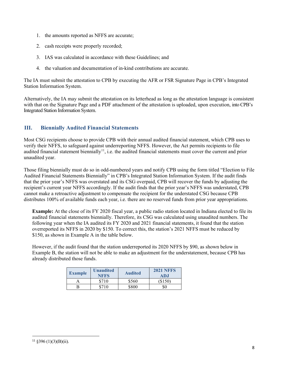- 1. the amounts reported as NFFS are accurate;
- 2. cash receipts were properly recorded;
- 3. IAS was calculated in accordance with these Guidelines; and
- 4. the valuation and documentation of in-kind contributions are accurate.

The IA must submit the attestation to CPB by executing the AFR or FSR Signature Page in CPB's Integrated Station Information System.

Alternatively, the IA may submit the attestation on its letterhead as long as the attestation language is consistent with that on the Signature Page and a PDF attachment of the attestation is uploaded, upon execution, into CPB's Integrated Station Information System.

# **III. Biennially Audited Financial Statements**

Most CSG recipients choose to provide CPB with their annual audited financial statement, which CPB uses to verify their NFFS, to safeguard against underreporting NFFS. However, the Act permits recipients to file audited financial statement biennially<sup>11</sup>, i.e. the audited financial statements must cover the current and prior unaudited year.

Those filing biennially must do so in odd-numbered years and notify CPB using the form titled "Election to File Audited Financial Statements Biennially" in CPB's Integrated Station Information System. If the audit finds that the prior year's NFFS was overstated and its CSG overpaid, CPB will recover the funds by adjusting the recipient's current year NFFS accordingly. If the audit finds that the prior year's NFFS was understated, CPB cannot make a retroactive adjustment to compensate the recipient for the understated CSG because CPB distributes 100% of available funds each year, i.e. there are no reserved funds from prior year appropriations.

**Example:** At the close of its FY 2020 fiscal year, a public radio station located in Indiana elected to file its audited financial statements biennially. Therefore, its CSG was calculated using unaudited numbers. The following year when the IA audited its FY 2020 and 2021 financial statements, it found that the station overreported its NFFS in 2020 by \$150. To correct this, the station's 2021 NFFS must be reduced by \$150, as shown in Example A in the table below.

However, if the audit found that the station underreported its 2020 NFFS by \$90, as shown below in Example B, the station will not be able to make an adjustment for the understatement, because CPB has already distributed those funds.

<span id="page-7-0"></span>

| <b>Example</b> | <b>Unaudited</b><br><b>NFFS</b> | <b>Audited</b> | <b>2021 NFFS</b><br>ADJ |
|----------------|---------------------------------|----------------|-------------------------|
|                | \$710                           | \$560          | \$150                   |
|                | \$710                           | \$800          | \$0                     |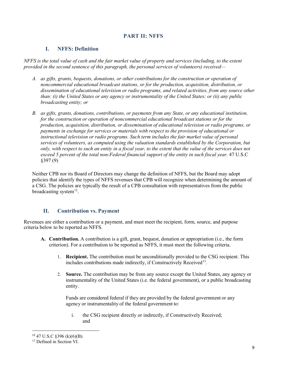# **PART II: NFFS**

# **I. NFFS: Definition**

*NFFS is the total value of cash and the fair market value of property and services (including, to the extent provided in the second sentence of this paragraph, the personal services of volunteers) received—*

- *A. as gifts, grants, bequests, donations, or other contributions for the construction or operation of noncommercial educational broadcast stations, or for the production, acquisition, distribution, or dissemination of educational television or radio programs, and related activities, from any source other than: (i) the United States or any agency or instrumentality of the United States; or (ii) any public broadcasting entity; or*
- *B. as gifts, grants, donations, contributions, or payments from any State, or any educational institution, for the construction or operation of noncommercial educational broadcast stations or for the production, acquisition, distribution, or dissemination of educational television or radio programs, or payments in exchange for services or materials with respect to the provision of educational or instructional television or radio programs. Such term includes the fair market value of personal services of volunteers, as computed using the valuation standards established by the Corporation, but only, with respect to such an entity in a fiscal year, to the extent that the value of the services does not exceed 5 percent of the total non-Federal financial support of the entity in such fiscal year.* 47 U.S.C §397 (9)

Neither CPB nor its Board of Directors may change the definition of NFFS, but the Board may adopt policies that identify the types of NFFS revenues that CPB will recognize when determining the amount of a CSG. The policies are typically the result of a CPB consultation with representatives from the public broadcasting system $^{12}$ .

# **II. Contribution vs. Payment**

Revenues are either a contribution or a payment, and must meet the recipient, form, source, and purpose criteria below to be reported as NFFS.

- **A. Contribution.** A contribution is a gift, grant, bequest, donation or appropriation (i.e., the form criterion). For a contribution to be reported as NFFS, it must meet the following criteria.
	- 1. **Recipient.** The contribution must be unconditionally provided to the CSG recipient. This includes contributions made indirectly, if Constructively Received<sup>13</sup>.
	- 2. **Source.** The contribution may be from any source except the United States, any agency or instrumentality of the United States (i.e. the federal government), or a public broadcasting entity.

Funds are considered federal if they are provided by the federal government or any agency or instrumentality of the federal government to:

i. the CSG recipient directly or indirectly, if Constructively Received; and

<span id="page-8-0"></span> $12$  47 U.S.C § 396 (k)(6)(B).

<span id="page-8-1"></span><sup>&</sup>lt;sup>13</sup> Defined in Section VI.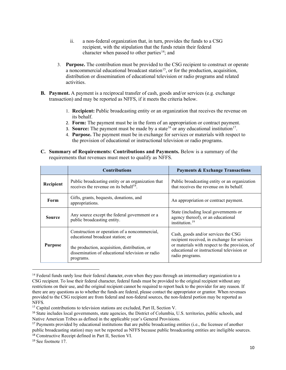- ii. a non-federal organization that, in turn, provides the funds to a CSG recipient, with the stipulation that the funds retain their federal character when passed to other parties<sup>[14](#page-9-0)</sup>; and
- 3. **Purpose.** The contribution must be provided to the CSG recipient to construct or operate a noncommercial educational broadcast station<sup>15</sup>, or for the production, acquisition, distribution or dissemination of educational television or radio programs and related activities.
- **B. Payment.** A payment is a reciprocal transfer of cash, goods and/or services (e.g. exchange transaction) and may be reported as NFFS, if it meets the criteria below.
	- 1. **Recipient:** Public broadcasting entity or an organization that receives the revenue on its behalf.
	- 2. **Form:** The payment must be in the form of an appropriation or contract payment.
	- 3. **Source:** The payment must be made by a state<sup>[16](#page-9-2)</sup> or any educational institution<sup>17</sup>.
	- 4. **Purpose.** The payment must be in exchange for services or materials with respect to the provision of educational or instructional television or radio programs.
- **C. Summary of Requirements: Contributions and Payments.** Below is a summary of the requirements that revenues must meet to qualify as NFFS.

|                | <b>Contributions</b>                                                                                                                                                                                 | <b>Payments &amp; Exchange Transactions</b>                                                                                                                                                            |  |
|----------------|------------------------------------------------------------------------------------------------------------------------------------------------------------------------------------------------------|--------------------------------------------------------------------------------------------------------------------------------------------------------------------------------------------------------|--|
| Recipient      | Public broadcasting entity or an organization that<br>receives the revenue on its behalf <sup>18</sup> .                                                                                             | Public broadcasting entity or an organization<br>that receives the revenue on its behalf.                                                                                                              |  |
| Form           | Gifts, grants, bequests, donations, and<br>appropriations.                                                                                                                                           | An appropriation or contract payment.                                                                                                                                                                  |  |
| <b>Source</b>  | Any source except the federal government or a<br>public broadcasting entity.                                                                                                                         | State (including local governments or<br>agency thereof), or an educational<br>institution. <sup>19</sup>                                                                                              |  |
| <b>Purpose</b> | Construction or operation of a noncommercial,<br>educational broadcast station; or<br>the production, acquisition, distribution, or<br>dissemination of educational television or radio<br>programs. | Cash, goods and/or services the CSG<br>recipient received, in exchange for services<br>or materials with respect to the provision, of<br>educational or instructional television or<br>radio programs. |  |

<span id="page-9-0"></span><sup>&</sup>lt;sup>14</sup> Federal funds rarely lose their federal character, even when they pass through an intermediary organization to a CSG recipient. To lose their federal character, federal funds must be provided to the original recipient without any restrictions on their use, and the original recipient cannot be required to report back to the provider for any reason. If there are any questions as to whether the funds are federal, please contact the appropriator or grantor. When revenues provided to the CSG recipient are from federal and non-federal sources, the non-federal portion may be reported as NFFS.

<sup>&</sup>lt;sup>15</sup> Capital contributions to television stations are excluded, Part II, Section V.

<span id="page-9-2"></span><span id="page-9-1"></span><sup>&</sup>lt;sup>16</sup> State includes local governments, state agencies, the District of Columbia, U.S. territories, public schools, and Native American Tribes as defined in the applicable year's General Provisions.

<span id="page-9-3"></span> $17$  Payments provided by educational institutions that are public broadcasting entities (i.e., the licensee of another public broadcasting station) may not be reported as NFFS because public broadcasting entities are ineligible sources.<br><sup>18</sup> Constructive Receipt defined in Part II, Section VI.

<span id="page-9-4"></span>

<span id="page-9-5"></span><sup>19</sup> See footnote 17.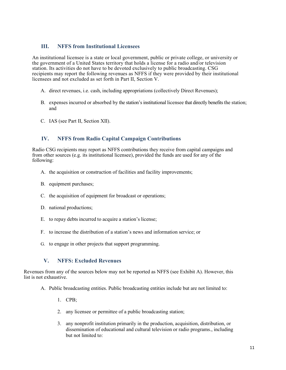# **III. NFFS from Institutional Licensees**

An institutional licensee is a state or local government, public or private college, or university or the government of a United States territory that holds a license for a radio and/or television station. Its activities do not have to be devoted exclusively to public broadcasting. CSG recipients may report the following revenues as NFFS if they were provided by their institutional licensees and not excluded as set forth in Part II, Section V.

- A. direct revenues, i.e. cash, including appropriations (collectively Direct Revenues);
- B. expenses incurred or absorbed by the station's institutional licensee that directly benefits the station; and
- C. IAS (see Part II, Section XII).

# **IV. NFFS from Radio Capital Campaign Contributions**

Radio CSG recipients may report as NFFS contributions they receive from capital campaigns and from other sources (e.g. its institutional licensee), provided the funds are used for any of the following:

- A. the acquisition or construction of facilities and facility improvements;
- B. equipment purchases;
- C. the acquisition of equipment for broadcast or operations;
- D. national productions;
- E. to repay debts incurred to acquire a station's license;
- F. to increase the distribution of a station's news and information service; or
- G. to engage in other projects that support programming.

# **V. NFFS: Excluded Revenues**

Revenues from any of the sources below may not be reported as NFFS (see Exhibit A). However, this list is not exhaustive.

- A. Public broadcasting entities. Public broadcasting entities include but are not limited to:
	- 1. CPB;
	- 2. any licensee or permittee of a public broadcasting station;
	- 3. any nonprofit institution primarily in the production, acquisition, distribution, or dissemination of educational and cultural television or radio programs., including but not limited to: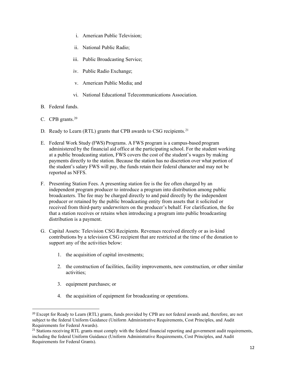- i. American Public Television;
- ii. National Public Radio;
- iii. Public Broadcasting Service;
- iv. Public Radio Exchange;
- v. American Public Media; and
- vi. National Educational Telecommunications Association.
- B. Federal funds.
- C. CPB grants.<sup>[20](#page-11-0)</sup>
- D. Ready to Learn (RTL) grants that CPB awards to CSG recipients.<sup>[21](#page-11-1)</sup>
- E. Federal Work Study (FWS) Programs. A FWS program is a campus-based program administered by the financial aid office at the participating school. For the student working at a public broadcasting station, FWS covers the cost of the student's wages by making payments directly to the station. Because the station has no discretion over what portion of the student's salary FWS will pay, the funds retain their federal character and may not be reported as NFFS.
- F. Presenting Station Fees. A presenting station fee is the fee often charged by an independent program producer to introduce a program into distribution among public broadcasters. The fee may be charged directly to and paid directly by the independent producer or retained by the public broadcasting entity from assets that it solicited or received from third-party underwriters on the producer's behalf. For clarification, the fee that a station receives or retains when introducing a program into public broadcasting distribution is a payment.
- G. Capital Assets: Television CSG Recipients. Revenues received directly or as in-kind contributions by a television CSG recipient that are restricted at the time of the donation to support any of the activities below:
	- 1. the acquisition of capital investments;
	- 2. the construction of facilities, facility improvements, new construction, or other similar activities;
	- 3. equipment purchases; or
	- 4. the acquisition of equipment for broadcasting or operations.

<span id="page-11-0"></span><sup>&</sup>lt;sup>20</sup> Except for Ready to Learn (RTL) grants, funds provided by CPB are not federal awards and, therefore, are not subject to the federal Uniform Guidance (Uniform Administrative Requirements, Cost Principles, and Audit Requirements for Federal Awards).

<span id="page-11-1"></span><sup>&</sup>lt;sup>21</sup> Stations receiving RTL grants must comply with the federal financial reporting and government audit requirements, including the federal Uniform Guidance (Uniform Administrative Requirements, Cost Principles, and Audit Requirements for Federal Grants).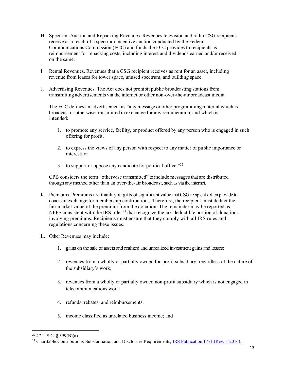- H. Spectrum Auction and Repacking Revenues. Revenues television and radio CSG recipients receive as a result of a spectrum incentive auction conducted by the Federal Communications Commission (FCC) and funds the FCC provides to recipients as reimbursement for repacking costs, including interest and dividends earned and/or received on the same.
- I. Rental Revenues. Revenues that a CSG recipient receives as rent for an asset, including revenue from leases for tower space, unused spectrum, and building space.
- J. Advertising Revenues. The Act does not prohibit public broadcasting stations from transmitting advertisements via the internet or other non-over-the-air broadcast media.

The FCC defines an advertisement as "any message or other programming material which is broadcast or otherwise transmitted in exchange for any remuneration, and which is intended:

- 1. to promote any service, facility, or product offered by any person who is engaged in such offering for profit;
- 2. to express the views of any person with respect to any matter of public importance or interest; or
- 3. to support or oppose any candidate for political office."[22](#page-12-0)

CPB considers the term "otherwise transmitted" to include messages that are distributed through any method other than an over-the-air broadcast, such as via the internet.

- K. Premiums. Premiums are thank-you gifts of significant value that CSG recipients often provide to donors in exchange for membership contributions. Therefore, the recipient must deduct the fair market value of the premium from the donation. The remainder may be reported as NFFS consistent with the IRS rules<sup>[23](#page-12-1)</sup> that recognize the tax-deductible portion of donations involving premiums. Recipients must ensure that they comply with all IRS rules and regulations concerning these issues.
- L. Other Revenues may include:
	- 1. gains on the sale of assets and realized and unrealized investment gains and losses;
	- 2. revenues from a wholly or partially owned for-profit subsidiary, regardless of the nature of the subsidiary's work;
	- 3. revenues from a wholly or partially owned non-profit subsidiary which is not engaged in telecommunications work;
	- 4. refunds, rebates, and reimbursements;
	- 5. income classified as unrelated business income; and

<span id="page-12-0"></span> $22$  47 U.S.C. § 399(B)(a).

<span id="page-12-1"></span><sup>&</sup>lt;sup>23</sup> Charitable Contributions-Substantiation and Disclosure Requirements, [IRS Publication 1771 \(Rev. 3-2016\).](https://www.irs.gov/pub/irs-pdf/p1771.pdf)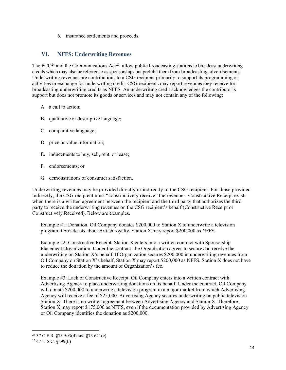6. insurance settlements and proceeds.

# **VI. NFFS: Underwriting Revenues**

The FCC<sup>[24](#page-13-0)</sup> and the Communications Act<sup>[25](#page-13-1)</sup> allow public broadcasting stations to broadcast underwriting credits which may also be referred to as sponsorships but prohibit them from broadcasting advertisements. Underwriting revenues are contributions to a CSG recipient primarily to support its programming or activities in exchange for underwriting credit. CSG recipients may report revenues they receive for broadcasting underwriting credits as NFFS. An underwriting credit acknowledges the contributor's support but does not promote its goods or services and may not contain any of the following:

- A. a call to action;
- B. qualitative or descriptive language;
- C. comparative language;
- D. price or value information;
- E. inducements to buy, sell, rent, or lease;
- F. endorsements; or
- G. demonstrations of consumer satisfaction.

Underwriting revenues may be provided directly or indirectly to the CSG recipient. For those provided indirectly, the CSG recipient must "constructively receive" the revenues. Constructive Receipt exists when there is a written agreement between the recipient and the third party that authorizes the third party to receive the underwriting revenues on the CSG recipient's behalf (Constructive Receipt or Constructively Received). Below are examples.

Example #1: Donation. Oil Company donates \$200,000 to Station X to underwrite a television program it broadcasts about British royalty. Station X may report \$200,000 as NFFS.

Example #2: Constructive Receipt. Station X enters into a written contract with Sponsorship Placement Organization. Under the contract, the Organization agrees to secure and receive the underwriting on Station X's behalf. If Organization secures \$200,000 in underwriting revenues from Oil Company on Station X's behalf, Station X may report \$200,000 as NFFS. Station X does not have to reduce the donation by the amount of Organization's fee.

Example #3: Lack of Constructive Receipt. Oil Company enters into a written contract with Advertising Agency to place underwriting donations on its behalf. Under the contract, Oil Company will donate \$200,000 to underwrite a television program in a major market from which Advertising Agency will receive a fee of \$25,000. Advertising Agency secures underwriting on public television Station X. There is no written agreement between Advertising Agency and Station X. Therefore, Station X may report \$175,000 as NFFS, even if the documentation provided by Advertising Agency or Oil Company identifies the donation as \$200,000.

<span id="page-13-0"></span> $24$  37 C.F.R. §73.503(d) and §73.621(e)

<span id="page-13-1"></span><sup>25</sup> 47 U.S.C. §399(b)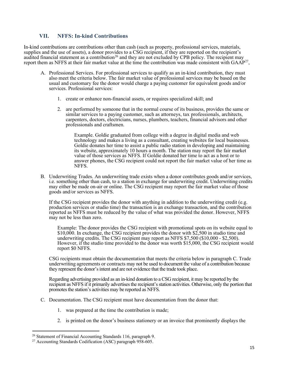# **VII. NFFS: In-kind Contributions**

In-kind contributions are contributions other than cash (such as property, professional services, materials, supplies and the use of assets), a donor provides to a CSG recipient, if they are reported on the recipient's audited financial statement as a contribution<sup>[26](#page-14-0)</sup> and they are not excluded by CPB policy. The recipient may report them as NFFS at their fair market value at the time the contribution was made consistent with GAAP<sup>27</sup>,

- A. Professional Services. For professional services to qualify as an in-kind contribution, they must also meet the criteria below. The fair market value of professional services may be based on the usual and customary fee the donor would charge a paying customer for equivalent goods and/or services. Professional services:
	- 1. create or enhance non-financial assets, or requires specialized skill; and
	- 2. are performed by someone that in the normal course of its business, provides the same or similar services to a paying customer, such as attorneys, tax professionals, architects, carpenters, doctors, electricians, nurses, plumbers, teachers, financial advisors and other professionals and craftsmen.

Example. Goldie graduated from college with a degree in digital media and web technology and makes a living as a consultant, creating websites for local businesses. Goldie donates her time to assist a public radio station in developing and maintaining its website, approximately 10 hours a month. The station may report the fair market value of those services as NFFS. If Goldie donated her time to act as a host or to answer phones, the CSG recipient could not report the fair market value of her time as NFFS.

B. Underwriting Trades. An underwriting trade exists when a donor contributes goods and/or services, i.e. something other than cash, to a station in exchange for underwriting credit. Underwriting credits may either be made on-air or online. The CSG recipient may report the fair market value of those goods and/or services as NFFS.

If the CSG recipient provides the donor with anything in addition to the underwriting credit (e.g. production services or studio time) the transaction is an exchange transaction, and the contribution reported as NFFS must be reduced by the value of what was provided the donor. However, NFFS may not be less than zero.

Example: The donor provides the CSG recipient with promotional spots on its website equal to \$10,000. In exchange, the CSG recipient provides the donor with \$2,500 in studio time and underwriting credits. The CSG recipient may report as NFFS \$7,500 (\$10,000 - \$2,500). However, if the studio time provided to the donor was worth \$15,000, the CSG recipient would report \$0 NFFS.

CSG recipients must obtain the documentation that meets the criteria below in paragraph C. Trade underwriting agreements or contracts may not be used to document the value of a contribution because they represent the donor's intent and are not evidence that the trade took place.

Regarding advertising provided as an in-kind donation to a CSG recipient, it may be reported by the recipient as NFFS if it primarily advertises the recipient's station activities. Otherwise, only the portion that promotes the station's activities may be reported as NFFS.

- C. Documentation. The CSG recipient must have documentation from the donor that:
	- 1. was prepared at the time the contribution is made;
	- 2. is printed on the donor's business stationery or an invoice that prominently displays the

<span id="page-14-0"></span><sup>26</sup> Statement of Financial Accounting Standards 116, paragraph 9.

<span id="page-14-1"></span> $27$  Accounting Standards Codification (ASC) paragraph 958-605.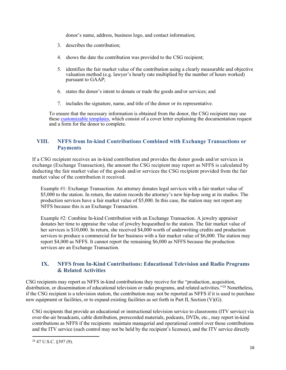donor's name, address, business logo, and contact information;

- 3. describes the contribution;
- 4. shows the date the contribution was provided to the CSG recipient;
- 5. identifies the fair market value of the contribution using a clearly measurable and objective valuation method (e.g. lawyer's hourly rate multiplied by the number of hours worked) pursuant to GAAP;
- 6. states the donor's intent to donate or trade the goods and/or services; and
- 7. includes the signature, name, and title of the donor or its representative.

To ensure that the necessary information is obtained from the donor, the CSG recipient may use these [customizable templates,](https://www.cpb.org/stations/in-kind) which consist of a cover letter explaining the documentation request and a form for the donor to complete.

# **VIII. NFFS from In-kind Contributions Combined with Exchange Transactions or Payments**

If a CSG recipient receives an in-kind contribution and provides the donor goods and/or services in exchange (Exchange Transaction), the amount the CSG recipient may report as NFFS is calculated by deducting the fair market value of the goods and/or services the CSG recipient provided from the fair market value of the contribution it received.

Example #1: Exchange Transaction. An attorney donates legal services with a fair market value of \$5,000 to the station. In return, the station records the attorney's new hip-hop song at its studios. The production services have a fair market value of \$5,000. In this case, the station may not report any NFFS because this is an Exchange Transaction.

Example #2: Combine In-kind Contribution with an Exchange Transaction. A jewelry appraiser donates her time to appraise the value of jewelry bequeathed to the station. The fair market value of her services is \$10,000. In return, she received \$4,000 worth of underwriting credits and production services to produce a commercial for her business with a fair market value of \$6,000. The station may report \$4,000 as NFFS. It cannot report the remaining \$6,000 as NFFS because the production services are an Exchange Transaction.

# **IX. NFFS from In-Kind Contributions: Educational Television and Radio Programs & Related Activities**

CSG recipients may report as NFFS in-kind contributions they receive for the "production, acquisition, distribution, or dissemination of educational television or radio programs, and related activities."<sup>[28](#page-15-0)</sup> Nonetheless, if the CSG recipient is a television station, the contribution may not be reported as NFFS if it is used to purchase new equipment or facilities, or to expand existing facilities as set forth in Part II, Section (V)(G).

CSG recipients that provide an educational or instructional television service to classrooms (ITV service) via over-the-air broadcasts, cable distribution, prerecorded materials, podcasts, DVDs, etc., may report in-kind contributions as NFFS if the recipients maintain managerial and operational control over those contributions and the ITV service (such control may not be held by the recipient's licensee), and the ITV service directly

<span id="page-15-0"></span><sup>28</sup> 47 U.S.C. §397 (9).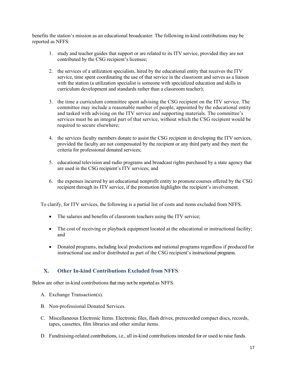benefits the station's mission as an educational broadcaster. The following in-kind contributions may be reported as NFFS:

- 1. study and teacher guides that support or are related to its ITV service, provided they are not contributed by the CSG recipient's licensee;
- 2. the services of a utilization specialists, hired by the educational entity that receives the ITV service, time spent coordinating the use of that service in the classroom and serves as a liaison with the station (a utilization specialist is someone with specialized education and skills in curriculum development and standards rather than a classroom teacher);
- 3. the time a curriculum committee spent advising the CSG recipient on the ITV service. The committee may include a reasonable number of people, appointed by the educational entity and tasked with advising on the ITV service and supporting materials. The committee's services must be an integral part of that service, without which the CSG recipient would be required to secure elsewhere;
- 4. the services faculty members donate to assist the CSG recipient in developing the ITV services, provided the faculty are not compensated by the recipient or any third party and they meet the criteria for professional donated services;
- 5. educational television and radio programs and broadcast rights purchased by a state agency that are used in the CSG recipient's ITV services; and
- 6. the expenses incurred by an educational nonprofit entity to promote courses offered by the CSG recipient through its ITV service, if the promotion highlights the recipient's involvement.

To clarify, for ITV services, the following is a partial list of costs and items excluded from NFFS.

- The salaries and benefits of classroom teachers using the ITV service;
- The cost of receiving or playback equipment located at the educational or instructional facility; and
- Donated programs, including local productions and national programs regardless if produced for instructional use and/or distributed as part of the CSG recipient's instructional programs.

# **X. Other In-kind Contributions Excluded from NFFS**.

Below are other in-kind contributions that may not be reported as NFFS.

- A. Exchange Transaction(s).
- B. Non-professional Donated Services.
- C. Miscellaneous Electronic Items. Electronic files, flash drives, prerecorded compact discs, records, tapes, cassettes, film libraries and other similar items.
- D. Fundraising-related contributions, i.e., all in-kind contributions intended for or used to raise funds.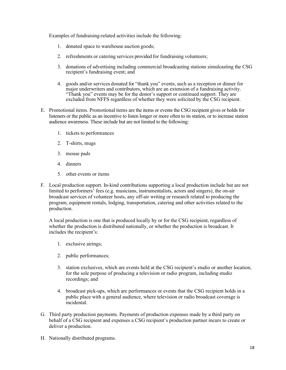Examples of fundraising-related activities include the following:

- 1. donated space to warehouse auction goods;
- 2. refreshments or catering services provided for fundraising volunteers;
- 3. donations of advertising including commercial broadcasting stations simulcasting the CSG recipient's fundraising event; and
- 4. goods and/or services donated for "thank you" events, such as a reception or dinner for major underwriters and contributors, which are an extension of a fundraising activity. "Thank you" events may be for the donor's support or continued support. They are excluded from NFFS regardless of whether they were solicited by the CSG recipient.
- E. Promotional items. Promotional items are the items or events the CSG recipient gives or holds for listeners or the public as an incentive to listen longer or more often to its station, or to increase station audience awareness. These include but are not limited to the following:
	- 1. tickets to performances
	- 2. T-shirts, mugs
	- 3. mouse pads
	- 4. dinners
	- 5. other events or items
- F. Local production support. In-kind contributions supporting a local production include but are not limited to performers' fees (e.g. musicians, instrumentalists, actors and singers), the on-air broadcast services of volunteer hosts, any off-air writing or research related to producing the program, equipment rentals, lodging, transportation, catering and other activities related to the production.

A local production is one that is produced locally by or for the CSG recipient, regardless of whether the production is distributed nationally, or whether the production is broadcast. It includes the recipient's:

- 1. exclusive airings;
- 2. public performances;
- 3. station exclusives, which are events held at the CSG recipient's studio or another location, for the sole purpose of producing a television or radio program, including studio recordings; and
- 4. broadcast pick-ups, which are performances or events that the CSG recipient holds in a public place with a general audience, where television or radio broadcast coverage is incidental.
- G. Third party production payments. Payments of production expenses made by a third party on behalf of a CSG recipient and expenses a CSG recipient's production partner incurs to create or deliver a production.
- H. Nationally distributed programs.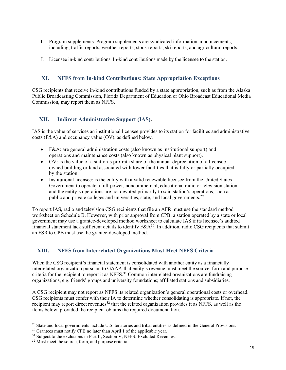- I. Program supplements. Program supplements are syndicated information announcements, including, traffic reports, weather reports, stock reports, ski reports, and agricultural reports.
- J. Licensee in-kind contributions. In-kind contributions made by the licensee to the station.

# **XI. NFFS from In-kind Contributions: State Appropriation Exceptions**

CSG recipients that receive in-kind contributions funded by a state appropriation, such as from the Alaska Public Broadcasting Commission, Florida Department of Education or Ohio Broadcast Educational Media Commission, may report them as NFFS.

# **XII. Indirect Administrative Support (IAS).**

IAS is the value of services an institutional licensee provides to its station for facilities and administrative costs (F&A) and occupancy value (OV), as defined below.

- F&A: are general administration costs (also known as institutional support) and operations and maintenance costs (also known as physical plant support).
- OV: is the value of a station's pro-rata share of the annual depreciation of a licenseeowned building or land associated with tower facilities that is fully or partially occupied by the station.
- Institutional licensee: is the entity with a valid renewable licensee from the United States Government to operate a full-power, noncommercial, educational radio or television station and the entity's operations are not devoted primarily to said station's operations, such as public and private colleges and universities, state, and local governments.<sup>[29](#page-18-0)</sup>

To report IAS, radio and television CSG recipients that file an AFR must use the standard method worksheet on Schedule B. However, with prior approval from CPB, a station operated by a state or local government may use a grantee-developed method worksheet to calculate IAS if its licensee's audited financial statement lack sufficient details to identify  $F\&A^{30}$  $F\&A^{30}$  $F\&A^{30}$ . In addition, radio CSG recipients that submit an FSR to CPB must use the grantee-developed method.

# **XIII. NFFS from Interrelated Organizations Must Meet NFFS Criteria**

When the CSG recipient's financial statement is consolidated with another entity as a financially interrelated organization pursuant to GAAP, that entity's revenue must meet the source, form and purpose criteria for the recipient to report it as NFFS.<sup>[31](#page-18-2)</sup> Common interrelated organizations are fundraising organizations, e.g. friends' groups and university foundations; affiliated stations and subsidiaries.

A CSG recipient may not report as NFFS its related organization's general operational costs or overhead. CSG recipients must confer with their IA to determine whether consolidating is appropriate. If not, the recipient may report direct revenues<sup>[32](#page-18-3)</sup> that the related organization provides it as NFFS, as well as the items below, provided the recipient obtains the required documentation.

<span id="page-18-0"></span> $^{29}$  State and local governments include U.S. territories and tribal entities as defined in the General Provisions.

<span id="page-18-1"></span><sup>&</sup>lt;sup>30</sup> Grantees must notify CPB no later than April 1 of the applicable year.

<span id="page-18-2"></span><sup>&</sup>lt;sup>31</sup> Subject to the exclusions in Part II, Section V, NFFS: Excluded Revenues.

<span id="page-18-3"></span><sup>&</sup>lt;sup>32</sup> Must meet the source, form, and purpose criteria.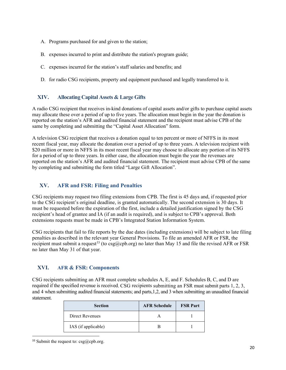- A. Programs purchased for and given to the station;
- B. expenses incurred to print and distribute the station's program guide;
- C. expenses incurred for the station's staff salaries and benefits; and
- D. for radio CSG recipients, property and equipment purchased and legally transferred to it.

# **XIV. Allocating Capital Assets & Large Gifts**

A radio CSG recipient that receives in-kind donations of capital assets and/or gifts to purchase capital assets may allocate these over a period of up to five years. The allocation must begin in the year the donation is reported on the station's AFR and audited financial statement and the recipient must advise CPB of the same by completing and submitting the "Capital Asset Allocation" form.

A television CSG recipient that receives a donation equal to ten percent or more of NFFS in its most recent fiscal year, may allocate the donation over a period of up to three years. A television recipient with \$20 million or more in NFFS in its most recent fiscal year may choose to allocate any portion of its NFFS for a period of up to three years. In either case, the allocation must begin the year the revenues are reported on the station's AFR and audited financial statement. The recipient must advise CPB of the same by completing and submitting the form titled "Large Gift Allocation".

# **XV. AFR and FSR: Filing and Penalties**

CSG recipients may request two filing extensions from CPB. The first is 45 days and, if requested prior to the CSG recipient's original deadline, is granted automatically. The second extension is 30 days. It must be requested before the expiration of the first, include a detailed justification signed by the CSG recipient's head of grantee and IA (if an audit is required), and is subject to CPB's approval. Both extensions requests must be made in CPB's Integrated Station Information System.

CSG recipients that fail to file reports by the due dates (including extensions) will be subject to late filing penalties as described in the relevant year General Provisions. To file an amended AFR or FSR, the recipient must submit a request<sup>[33](#page-19-0)</sup> (to csg@cpb.org) no later than May 15 and file the revised AFR or FSR no later than May 31 of that year.

# **XVI. AFR & FSR: Components**

CSG recipients submitting an AFR must complete schedules A, E, and F. Schedules B, C, and D are required if the specified revenue is received. CSG recipients submitting an FSR must submit parts 1, 2, 3, and 4 when submitting audited financial statements; and parts,1,2, and 3 when submitting an unaudited financial statement.

| <b>Section</b>      | <b>AFR Schedule</b> | <b>FSR Part</b> |  |
|---------------------|---------------------|-----------------|--|
| Direct Revenues     |                     |                 |  |
| IAS (if applicable) |                     |                 |  |

<span id="page-19-0"></span><sup>&</sup>lt;sup>33</sup> Submit the request to:  $csg(\omega$ cpb.org.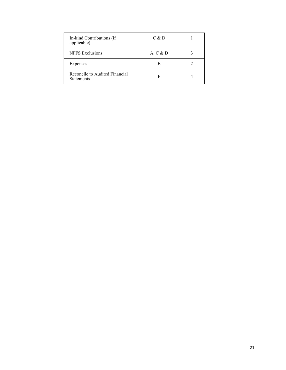| In-kind Contributions (if<br>applicable)            | C & D    |  |
|-----------------------------------------------------|----------|--|
| <b>NFFS</b> Exclusions                              | A, C & D |  |
| Expenses                                            | E        |  |
| Reconcile to Audited Financial<br><b>Statements</b> | F        |  |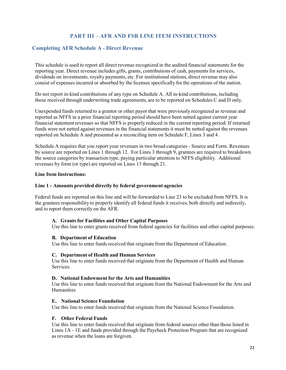# **PART III – AFR AND FSR LINE ITEM INSTRUCTIONS**

# **Completing AFR Schedule A - Direct Revenue**

This schedule is used to report all direct revenue recognized in the audited financial statements for the reporting year. Direct revenue includes gifts, grants, contributions of cash, payments for services, dividends on investments, royalty payments, etc. For institutional stations, direct revenue may also consist of expenses incurred or absorbed by the licensee specifically for the operations of the station.

Do not report in-kind contributions of any type on Schedule A. All in-kind contributions, including those received through underwriting trade agreements, are to be reported on Schedules C and D only.

Unexpended funds returned to a grantor or other payor that were previously recognized as revenue and reported as NFFS in a prior financial reporting period should have been netted against current year financial statement revenues so that NFFS is properly reduced in the current reporting period. If returned funds were not netted against revenues in the financial statements it must be netted against the revenues reported on Schedule A and presented as a reconciling item on Schedule F, Lines 3 and 4.

Schedule A requires that you report your revenues in two broad categories - Source and Form. Revenues by source are reported on Lines 1 through 12. For Lines 3 through 9, grantees are required to breakdown the source categories by transaction type, paying particular attention to NFFS eligibility. Additional revenues by form (or type) are reported on Lines 13 through 21.

### **Line Item Instructions:**

### **Line 1 - Amounts provided directly by federal government agencies**

Federal funds are reported on this line and will be forwarded to Line 23 to be excluded from NFFS. It is the grantees responsibility to properly identify all federal funds it receives, both directly and indirectly, and to report them correctly on the AFR.

### **A. Grants for Facilities and Other Capital Purposes**

Use this line to enter grants received from federal agencies for facilities and other capital purposes.

### **B. Department of Education**

Use this line to enter funds received that originate from the Department of Education.

### **C. Department of Health and Human Services**

Use this line to enter funds received that originate from the Department of Health and Human **Services** 

# **D. National Endowment for the Arts and Humanities**

Use this line to enter funds received that originate from the National Endowment for the Arts and **Humanities** 

### **E. National Science Foundation**

Use this line to enter funds received that originate from the National Science Foundation.

# **F. Other Federal Funds**

Use this line to enter funds received that originate from federal sources other than those listed in Lines 1A - 1E and funds provided through the Paycheck Protection Program that are recognized as revenue when the loans are forgiven.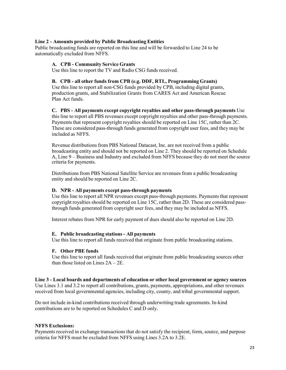# **Line 2 - Amounts provided by Public Broadcasting Entities**

Public broadcasting funds are reported on this line and will be forwarded to Line 24 to be automatically excluded from NFFS.

# **A. CPB - Community Service Grants**

Use this line to report the TV and Radio CSG funds received.

# **B. CPB - all other funds from CPB (e.g. DDF, RTL, Programming Grants)**

Use this line to report all non-CSG funds provided by CPB, including digital grants, production grants, and Stabilization Grants from CARES Act and American Rescue Plan Act funds.

**C. PBS - All payments except copyright royalties and other pass-through payments** Use this line to report all PBS revenues except copyright royalties and other pass-through payments. Payments that represent copyright royalties should be reported on Line 15C, rather than 2C. These are considered pass-through funds generated from copyright user fees, and they may be included as NFFS.

Revenue distributions from PBS National Datacast, Inc. are not received from a public broadcasting entity and should not be reported on Line 2. They should be reported on Schedule A, Line 9 – Business and Industry and excluded from NFFS because they do not meet the source criteria for payments.

Distributions from PBS National Satellite Service are revenues from a public broadcasting entity and should be reported on Line 2C.

# **D. NPR - All payments except pass-through payments**

Use this line to report all NPR revenues except pass-through payments. Payments that represent copyright royalties should be reported on Line 15C, rather than 2D. These are considered passthrough funds generated from copyright user fees, and they may be included as NFFS.

Interest rebates from NPR for early payment of dues should also be reported on Line 2D.

# **E. Public broadcasting stations - All payments**

Use this line to report all funds received that originate from public broadcasting stations.

# **F. Other PBE funds**

Use this line to report all funds received that originate from public broadcasting sources other than those listed on Lines  $2A - 2E$ .

### **Line 3 - Local boards and departments of education or other local government or agency sources**

Use Lines 3.1 and 3.2 to report all contributions, grants, payments, appropriations, and other revenues received from local governmental agencies, including city, county, and tribal governmental support.

Do not include in-kind contributions received through underwriting trade agreements. In-kind contributions are to be reported on Schedules C and D only.

# **NFFS Exclusions:**

Payments received in exchange transactions that do not satisfy the recipient, form, source, and purpose criteria for NFFS must be excluded from NFFS using Lines 3.2A to 3.2E.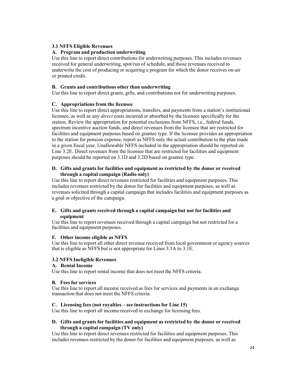# **3.1 NFFS Eligible Revenues**

# **A. Program and production underwriting**

Use this line to report direct contributions for underwriting purposes. This includes revenues received for general underwriting, spot/run of schedule, and those revenues received to underwrite the cost of producing or acquiring a program for which the donor receives on-air or printed credit.

# **B. Grants and contributions other than underwriting**

Use this line to report direct grants, gifts, and contributions not for underwriting purposes.

# **C. Appropriationsfrom the licensee**

Use this line to report direct appropriations, transfers, and payments from a station's institutional licensee, as well as any *direct* costs incurred or absorbed by the licensee specifically for the station. Review the appropriation for potential exclusions from NFFS, i.e., federal funds, spectrum incentive auction funds, and direct revenues from the licensee that are restricted for facilities and equipment purposes based on grantee type. If the licensee provides an appropriation to the station for pension expense, report as NFFS only the actual contribution to the plan made in a given fiscal year. Unallowable NFFS included in the appropriation should be reported on Line 3.2E. Direct revenues from the licensee that are restricted for facilities and equipment purposes should be reported on 3.1D and 3.2D based on grantee type.

# **D. Gifts and grants for facilities and equipment as restricted by the donor or received through a capital campaign (Radio only)**

Use this line to report direct revenues restricted for facilities and equipment purposes. This includes revenues restricted by the donor for facilities and equipment purposes, as well as revenues solicited through a capital campaign that includes facilities and equipment purposes as a goal or objective of the campaign.

# **E. Gifts and grants received through a capital campaign but not for facilities and equipment**

Use this line to report revenues received through a capital campaign but not restricted for a facilities and equipment purposes.

# **F. Other income eligible as NFFS**

Use this line to report all other direct revenue received from local government or agency sources that is eligible as NFFS but is not appropriate for Lines 3.1A to 3.1E.

# **3.2 NFFS Ineligible Revenues**

# **A. Rental Income**

Use this line to report rental income that does not meet the NFFS criteria.

# **B. Fees for services**

Use this line to report all income received as fees for services and payments in an exchange transaction that does not meet the NFFS criteria.

# **C. Licensing fees (not royalties – see instructions for Line 15)**

Use this line to report all income received in exchange for licensing fees.

# **D. Gifts and grants for facilities and equipment as restricted by the donor or received through a capital campaign (TV only)**

Use this line to report direct revenues restricted for facilities and equipment purposes. This includes revenues restricted by the donor for facilities and equipment purposes, as well as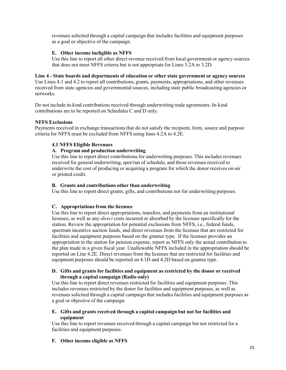revenues solicited through a capital campaign that includes facilities and equipment purposes as a goal or objective of the campaign.

# **E. Other income ineligible as NFFS**

Use this line to report all other direct revenue received from local government or agency sources that does not meet NFFS criteria but is not appropriate for Lines 3.2A to 3.2D.

### **Line 4 - State boards and departments of education or other state government or agency sources**

Use Lines 4.1 and 4.2 to report all contributions, grants, payments, appropriations, and other revenues received from state agencies and governmental sources, including state public broadcasting agencies or networks.

Do not include in-kind contributions received through underwriting trade agreements. In-kind contributions are to be reported on Schedules C and D only.

### **NFFS Exclusions**

Payments received in exchange transactions that do not satisfy the recipient, form, source and purpose criteria for NFFS must be excluded from NFFS using lines 4.2A to 4.2E.

### **4.1 NFFS Eligible Revenues**

### **A. Program and production underwriting**

Use this line to report direct contributions for underwriting purposes. This includes revenues received for general underwriting, spot/run of schedule, and those revenues received to underwrite the cost of producing or acquiring a program for which the donor receives on-air or printed credit.

### **B. Grants and contributions other than underwriting**

Use this line to report direct grants, gifts, and contributions not for underwriting purposes.

# **C. Appropriationsfrom the licensee**

Use this line to report direct appropriations, transfers, and payments from an institutional licensee, as well as any *direct* costs incurred or absorbed by the licensee specifically for the station. Review the appropriation for potential exclusions from NFFS, i.e., federal funds, spectrum incentive auction funds, and direct revenues from the licensee that are restricted for facilities and equipment purposes based on the grantee type. If the licensee provides an appropriation to the station for pension expense, report as NFFS only the actual contribution to the plan made in a given fiscal year. Unallowable NFFS included in the appropriation should be reported on Line 4.2E. Direct revenues from the licensee that are restricted for facilities and equipment purposes should be reported on 4.1D and 4.2D based on grantee type.

### **D. Gifts and grants for facilities and equipment as restricted by the donor or received through a capital campaign (Radio only)**

Use this line to report direct revenues restricted for facilities and equipment purposes. This includes revenues restricted by the donor for facilities and equipment purposes, as well as revenues solicited through a capital campaign that includes facilities and equipment purposes as a goal or objective of the campaign.

# **E. Gifts and grants received through a capital campaign but not for facilities and equipment**

Use this line to report revenues received through a capital campaign but not restricted for a facilities and equipment purposes.

# **F. Other income eligible as NFFS**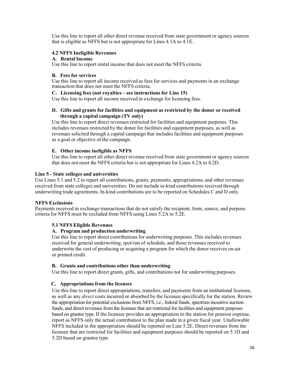Use this line to report all other direct revenue received from state government or agency sources that is eligible as NFFS but is not appropriate for Lines 4.1A to 4.1E.

# **4.2 NFFS Ineligible Revenues**

# **A. Rental Income**

Use this line to report rental income that does not meet the NFFS criteria.

### **B. Fees for services**

Use this line to report all income received as fees for services and payments in an exchange transaction that does not meet the NFFS criteria.

### **C. Licensing fees (not royalties – see instructions for Line 15)**

Use this line to report all income received in exchange for licensing fees.

# **D. Gifts and grants for facilities and equipment as restricted by the donor or received through a capital campaign (TV only)**

Use this line to report direct revenues restricted for facilities and equipment purposes. This includes revenues restricted by the donor for facilities and equipment purposes, as well as revenues solicited through a capital campaign that includes facilities and equipment purposes as a goal or objective of the campaign.

# **E. Other income ineligible as NFFS**

Use this line to report all other direct revenue received from state government or agency sources that does not meet the NFFS criteria but is not appropriate for Lines 4.2A to 4.2D.

# **Line 5 - State colleges and universities**

Use Lines 5.1 and 5.2 to report all contributions, grants, payments, appropriations, and other revenues received from state colleges and universities. Do not include in-kind contributions received through underwriting trade agreements. In-kind contributions are to be reported on Schedules C and D only.

# **NFFS Exclusions**

Payments received in exchange transactions that do not satisfy the recipient, form, source, and purpose criteria for NFFS must be excluded from NFFS using Lines 5.2A to 5.2E.

# **5.1 NFFS Eligible Revenues**

# **A. Program and production underwriting**

Use this line to report direct contributions for underwriting purposes. This includes revenues received for general underwriting, spot/run of schedule, and those revenues received to underwrite the cost of producing or acquiring a program for which the donor receives on-air or printed credit.

# **B. Grants and contributions other than underwriting**

Use this line to report direct grants, gifts, and contributions not for underwriting purposes.

# **C. Appropriationsfrom the licensee**

Use this line to report direct appropriations, transfers, and payments from an institutional licensee, as well as any *direct* costs incurred or absorbed by the licensee specifically for the station. Review the appropriation for potential exclusions from NFFS, i.e., federal funds, spectrum incentive auction funds, and direct revenues from the licensee that are restricted for facilities and equipment purposes based on grantee type. If the licensee provides an appropriation to the station for pension expense, report as NFFS only the actual contribution to the plan made in a given fiscal year. Unallowable NFFS included in the appropriation should be reported on Line 5.2E. Direct revenues from the licensee that are restricted for facilities and equipment purposes should be reported on 5.1D and 5.2D based on grantee type.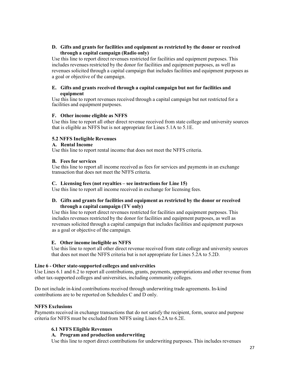# **D. Gifts and grants for facilities and equipment as restricted by the donor or received through a capital campaign (Radio only)**

Use this line to report direct revenues restricted for facilities and equipment purposes. This includes revenues restricted by the donor for facilities and equipment purposes, as well as revenues solicited through a capital campaign that includes facilities and equipment purposes as a goal or objective of the campaign.

# **E. Gifts and grants received through a capital campaign but not for facilities and equipment**

Use this line to report revenues received through a capital campaign but not restricted for a facilities and equipment purposes.

# **F. Other income eligible as NFFS**

Use this line to report all other direct revenue received from state college and university sources that is eligible as NFFS but is not appropriate for Lines 5.1A to 5.1E.

# **5.2 NFFS Ineligible Revenues**

### **A. Rental Income**

Use this line to report rental income that does not meet the NFFS criteria.

# **B. Fees for services**

Use this line to report all income received as fees for services and payments in an exchange transaction that does not meet the NFFS criteria.

### **C. Licensing fees (not royalties – see instructions for Line 15)**

Use this line to report all income received in exchange for licensing fees.

# **D. Gifts and grants for facilities and equipment as restricted by the donor or received through a capital campaign (TV only)**

Use this line to report direct revenues restricted for facilities and equipment purposes. This includes revenues restricted by the donor for facilities and equipment purposes, as well as revenues solicited through a capital campaign that includes facilities and equipment purposes as a goal or objective of the campaign.

# **E. Other income ineligible as NFFS**

Use this line to report all other direct revenue received from state college and university sources that does not meet the NFFS criteria but is not appropriate for Lines 5.2A to 5.2D.

# **Line 6 - Other state-supported colleges and universities**

Use Lines 6.1 and 6.2 to report all contributions, grants, payments, appropriations and other revenue from other tax-supported colleges and universities, including community colleges.

Do not include in-kind contributions received through underwriting trade agreements. In-kind contributions are to be reported on Schedules C and D only.

# **NFFS Exclusions**

Payments received in exchange transactions that do not satisfy the recipient, form, source and purpose criteria for NFFS must be excluded from NFFS using Lines 6.2A to 6.2E.

# **6.1 NFFS Eligible Revenues**

### **A. Program and production underwriting**

Use this line to report direct contributions for underwriting purposes. This includes revenues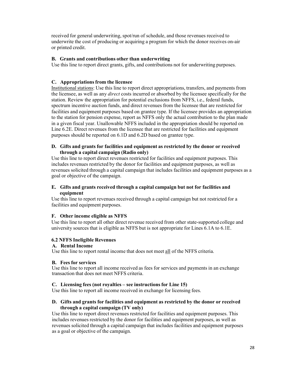received for general underwriting, spot/run of schedule, and those revenues received to underwrite the cost of producing or acquiring a program for which the donor receives on-air or printed credit.

# **B. Grants and contributions other than underwriting**

Use this line to report direct grants, gifts, and contributions not for underwriting purposes.

# **C. Appropriationsfrom the licensee**

Institutional stations: Use this line to report direct appropriations, transfers, and payments from the licensee, as well as any *direct* costs incurred or absorbed by the licensee specifically for the station. Review the appropriation for potential exclusions from NFFS, i.e., federal funds, spectrum incentive auction funds, and direct revenues from the licensee that are restricted for facilities and equipment purposes based on grantee type. If the licensee provides an appropriation to the station for pension expense, report as NFFS only the actual contribution to the plan made in a given fiscal year. Unallowable NFFS included in the appropriation should be reported on Line 6.2E. Direct revenues from the licensee that are restricted for facilities and equipment purposes should be reported on 6.1D and 6.2D based on grantee type.

### **D. Gifts and grants for facilities and equipment as restricted by the donor or received through a capital campaign (Radio only)**

Use this line to report direct revenues restricted for facilities and equipment purposes. This includes revenues restricted by the donor for facilities and equipment purposes, as well as revenues solicited through a capital campaign that includes facilities and equipment purposes as a goal or objective of the campaign.

# **E. Gifts and grants received through a capital campaign but not for facilities and equipment**

Use this line to report revenues received through a capital campaign but not restricted for a facilities and equipment purposes.

# **F. Other income eligible as NFFS**

Use this line to report all other direct revenue received from other state-supported college and university sources that is eligible as NFFS but is not appropriate for Lines 6.1A to 6.1E.

# **6.2 NFFS Ineligible Revenues**

# **A. Rental Income**

Use this line to report rental income that does not meet all of the NFFS criteria.

# **B. Fees for services**

Use this line to report all income received as fees for services and payments in an exchange transaction that does not meet NFFS criteria.

# **C. Licensing fees (not royalties – see instructions for Line 15)**

Use this line to report all income received in exchange for licensing fees.

# **D. Gifts and grants for facilities and equipment as restricted by the donor or received through a capital campaign (TV only)**

Use this line to report direct revenues restricted for facilities and equipment purposes. This includes revenues restricted by the donor for facilities and equipment purposes, as well as revenues solicited through a capital campaign that includes facilities and equipment purposes as a goal or objective of the campaign.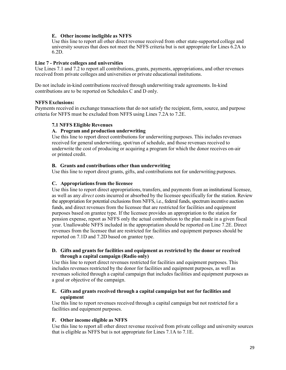# **E. Other income ineligible as NFFS**

Use this line to report all other direct revenue received from other state-supported college and university sources that does not meet the NFFS criteria but is not appropriate for Lines 6.2A to 6.2D.

# **Line 7 - Private colleges and universities**

Use Lines 7.1 and 7.2 to report all contributions, grants, payments, appropriations, and other revenues received from private colleges and universities or private educational institutions.

Do not include in-kind contributions received through underwriting trade agreements. In-kind contributions are to be reported on Schedules C and D only.

### **NFFS Exclusions:**

Payments received in exchange transactions that do not satisfy the recipient, form, source, and purpose criteria for NFFS must be excluded from NFFS using Lines 7.2A to 7.2E.

# **7.1 NFFS Eligible Revenues**

# **A. Program and production underwriting**

Use this line to report direct contributions for underwriting purposes. This includes revenues received for general underwriting, spot/run of schedule, and those revenues received to underwrite the cost of producing or acquiring a program for which the donor receives on-air or printed credit.

# **B. Grants and contributions other than underwriting**

Use this line to report direct grants, gifts, and contributions not for underwriting purposes.

# **C. Appropriationsfrom the licensee**

Use this line to report direct appropriations, transfers, and payments from an institutional licensee, as well as any *direct* costs incurred or absorbed by the licensee specifically for the station. Review the appropriation for potential exclusions from NFFS, i.e., federal funds, spectrum incentive auction funds, and direct revenues from the licensee that are restricted for facilities and equipment purposes based on grantee type. If the licensee provides an appropriation to the station for pension expense, report as NFFS only the actual contribution to the plan made in a given fiscal year. Unallowable NFFS included in the appropriation should be reported on Line 7.2E. Direct revenues from the licensee that are restricted for facilities and equipment purposes should be reported on 7.1D and 7.2D based on grantee type.

### **D. Gifts and grants for facilities and equipment as restricted by the donor or received through a capital campaign (Radio only)**

Use this line to report direct revenues restricted for facilities and equipment purposes. This includes revenues restricted by the donor for facilities and equipment purposes, as well as revenues solicited through a capital campaign that includes facilities and equipment purposes as a goal or objective of the campaign.

# **E. Gifts and grants received through a capital campaign but not for facilities and equipment**

Use this line to report revenues received through a capital campaign but not restricted for a facilities and equipment purposes.

# **F. Other income eligible as NFFS**

Use this line to report all other direct revenue received from private college and university sources that is eligible as NFFS but is not appropriate for Lines 7.1A to 7.1E.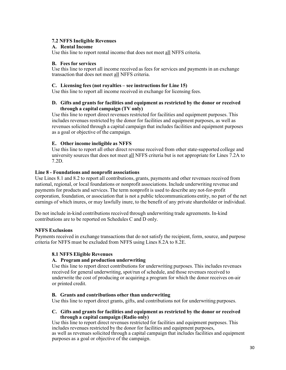# **7.2 NFFS Ineligible Revenues**

# **A. Rental Income**

Use this line to report rental income that does not meet all NFFS criteria.

### **B. Fees for services**

Use this line to report all income received as fees for services and payments in an exchange transaction that does not meet all NFFS criteria.

### **C. Licensing fees (not royalties – see instructions for Line 15)**

Use this line to report all income received in exchange for licensing fees.

# **D. Gifts and grants for facilities and equipment as restricted by the donor or received through a capital campaign (TV only)**

Use this line to report direct revenues restricted for facilities and equipment purposes. This includes revenues restricted by the donor for facilities and equipment purposes, as well as revenues solicited through a capital campaign that includes facilities and equipment purposes as a goal or objective of the campaign.

# **E. Other income ineligible as NFFS**

Use this line to report all other direct revenue received from other state-supported college and university sources that does not meet all NFFS criteria but is not appropriate for Lines 7.2A to 7.2D.

# **Line 8 - Foundations and nonprofit associations**

Use Lines 8.1 and 8.2 to report all contributions, grants, payments and other revenues received from national, regional, or local foundations or nonprofit associations. Include underwriting revenue and payments for products and services. The term nonprofit is used to describe any not-for-profit corporation, foundation, or association that is not a public telecommunications entity, no part of the net earnings of which inures, or may lawfully inure, to the benefit of any private shareholder or individual.

Do not include in-kind contributions received through underwriting trade agreements. In-kind contributions are to be reported on Schedules C and D only.

# **NFFS Exclusions**

Payments received in exchange transactions that do not satisfy the recipient, form, source, and purpose criteria for NFFS must be excluded from NFFS using Lines 8.2A to 8.2E.

# **8.1 NFFS Eligible Revenues**

# **A. Program and production underwriting**

Use this line to report direct contributions for underwriting purposes. This includes revenues received for general underwriting, spot/run of schedule, and those revenues received to underwrite the cost of producing or acquiring a program for which the donor receives on-air or printed credit.

# **B. Grants and contributions other than underwriting**

Use this line to report direct grants, gifts, and contributions not for underwriting purposes.

### **C. Gifts and grants for facilities and equipment as restricted by the donor or received through a capital campaign (Radio only)**

Use this line to report direct revenues restricted for facilities and equipment purposes. This includes revenues restricted by the donor for facilities and equipment purposes, as well as revenues solicited through a capital campaign that includes facilities and equipment purposes as a goal or objective of the campaign.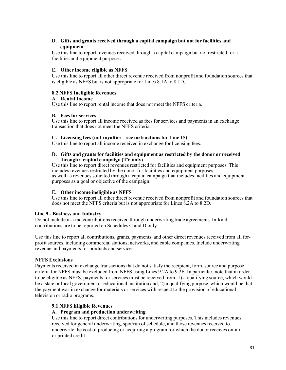# **D. Gifts and grants received through a capital campaign but not for facilities and equipment**

Use this line to report revenues received through a capital campaign but not restricted for a facilities and equipment purposes.

# **E. Other income eligible as NFFS**

Use this line to report all other direct revenue received from nonprofit and foundation sources that is eligible as NFFS but is not appropriate for Lines 8.1A to 8.1D.

# **8.2 NFFS Ineligible Revenues**

### **A. Rental Income**

Use this line to report rental income that does not meet the NFFS criteria.

# **B. Fees for services**

Use this line to report all income received as fees for services and payments in an exchange transaction that does not meet the NFFS criteria.

# **C. Licensing fees (not royalties – see instructions for Line 15)**

Use this line to report all income received in exchange for licensing fees.

### **D. Gifts and grants for facilities and equipment as restricted by the donor or received through a capital campaign (TV only)**

Use this line to report direct revenues restricted for facilities and equipment purposes. This includes revenues restricted by the donor for facilities and equipment purposes, as well as revenues solicited through a capital campaign that includes facilities and equipment purposes as a goal or objective of the campaign.

# **E. Other income ineligible as NFFS**

Use this line to report all other direct revenue received from nonprofit and foundation sources that does not meet the NFFS criteria but is not appropriate for Lines 8.2A to 8.2D.

# **Line 9 - Business and Industry**

Do not include in-kind contributions received through underwriting trade agreements. In-kind contributions are to be reported on Schedules C and D only.

Use this line to report all contributions, grants, payments, and other direct revenues received from all forprofit sources, including commercial stations, networks, and cable companies. Include underwriting revenue and payments for products and services.

# **NFFS Exclusions**

Payments received in exchange transactions that do not satisfy the recipient, form, source and purpose criteria for NFFS must be excluded from NFFS using Lines 9.2A to 9.2E. In particular, note that in order to be eligible as NFFS, payments for services must be received from: 1) a qualifying source, which would be a state or local government or educational institution and; 2) a qualifying purpose, which would be that the payment was in exchange for materials or services with respect to the provision of educational television or radio programs.

# **9.1 NFFS Eligible Revenues**

# **A. Program and production underwriting**

Use this line to report direct contributions for underwriting purposes. This includes revenues received for general underwriting, spot/run of schedule, and those revenues received to underwrite the cost of producing or acquiring a program for which the donor receives on-air or printed credit.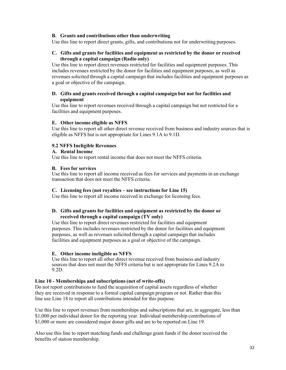# **B. Grants and contributions other than underwriting**

Use this line to report direct grants, gifts, and contributions not for underwriting purposes.

# **C. Gifts and grants for facilities and equipment as restricted by the donor or received through a capital campaign (Radio only)**

Use this line to report direct revenues restricted for facilities and equipment purposes. This includes revenues restricted by the donor for facilities and equipment purposes, as well as revenues solicited through a capital campaign that includes facilities and equipment purposes as a goal or objective of the campaign.

### **D. Gifts and grants received through a capital campaign but not for facilities and equipment**

Use this line to report revenues received through a capital campaign but not restricted for a facilities and equipment purposes.

### **E. Other income eligible as NFFS**

Use this line to report all other direct revenue received from business and industry sources that is eligible as NFFS but is not appropriate for Lines 9.1A to 9.1D.

# **9.2 NFFS Ineligible Revenues**

### **A. Rental Income**

Use this line to report rental income that does not meet the NFFS criteria.

### **B. Fees for services**

Use this line to report all income received as fees for services and payments in an exchange transaction that does not meet the NFFS criteria.

### **C. Licensing fees (not royalties – see instructions for Line 15)**

Use this line to report all income received in exchange for licensing fees.

# **D. Gifts and grants for facilities and equipment as restricted by the donor or received through a capital campaign (TV only)**

Use this line to report direct revenues restricted for facilities and equipment purposes. This includes revenues restricted by the donor for facilities and equipment purposes, as well as revenues solicited through a capital campaign that includes facilities and equipment purposes as a goal or objective of the campaign.

# **E. Other income ineligible as NFFS**

Use this line to report all other direct revenue received from business and industry sources that does not meet the NFFS criteria but is not appropriate for Lines 9.2A to 9.2D.

# **Line 10 - Memberships and subscriptions(net of write-offs)**

Do not report contributions to fund the acquisition of capital assets regardless of whether they are received in response to a formal capital campaign program or not. Rather than this line use Line 18 to report all contributions intended for this purpose.

Use this line to report revenues from memberships and subscriptions that are, in aggregate, less than \$1,000 per individual donor for the reporting year. Individual membership contributions of \$1,000 or more are considered major donor gifts and are to be reported on Line 19.

Also use this line to report matching funds and challenge grant funds if the donor received the benefits of station membership.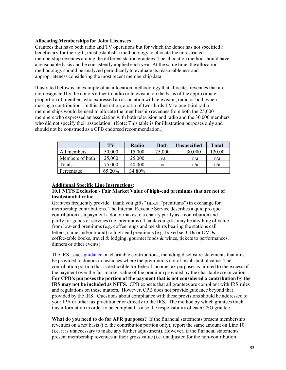# **Allocating Membershipsfor Joint Licensees**

Grantees that have both radio and TV operations but for which the donor has not specified a beneficiary for their gift, must establish a methodology to allocate the unrestricted membership revenues among the different station grantees. The allocation method should have a reasonable basis and be consistently applied each year. At the same time, the allocation methodology should be analyzed periodically to evaluate its reasonableness and appropriateness considering the most recent membership data.

Illustrated below is an example of an allocation methodology that allocates revenues that are not designated by the donors either to radio or television on the basis of the approximate proportion of members who expressed an association with television, radio or both when making a contribution. In this illustration, a ratio of two-thirds TV to one-third radio memberships would be used to allocate the membership revenues from both the 25,000 members who expressed an association with both television and radio and the 30,000 members who did not specify their association. (Note: This table is for illustration purposes only and should not be construed as a CPB endorsed recommendation.)

|                 | TV     | Radio  | <b>Both</b> | <b>Unspecified</b> | <b>Total</b> |
|-----------------|--------|--------|-------------|--------------------|--------------|
| All members     | 50,000 | 15,000 | 25,000      | 30,000             | 20,00        |
| Members of both | 25,000 | 25,000 | n/a         | n/a                | n/a          |
| Totals          | 75,000 | 40,000 | n/a         | n/a                | n/a          |
| Percentage      | 65.20% | 34.80% |             |                    |              |

# **Additional Specific Line Instructions:**

### **10.1 NFFS Exclusion - Fair Market Value of high-end premiums that are not of insubstantial value.**

Grantees frequently provide "thank you gifts" (a.k.a. "premiums") in exchange for membership contributions. The Internal Revenue Service describes a quid pro quo contribution as a payment a donor makes to a charity partly as a contribution and partly for goods or services (i.e. premiums). Thank you gifts may be anything of value from low-end premiums (e.g. coffee mugs and tee shirts bearing the stations call letters, name and/or brand) to high-end premiums (e.g. boxed set CDs or DVDs, coffee-table books, travel  $\&$  lodging, gourmet foods  $\&$  wines, tickets to performances, dinners or other events).

The IRS issues [guidance](https://www.irs.gov/pub/irs-pdf/p1771.pdf) on charitable contributions, including disclosure statements that must be provided to donors in instances where the premium is not of insubstantial value. The contribution portion that is deductible for federal income tax purposes is limited to the excess of the payment over the fair market value of the premium provided by the charitable organization. **For CPB's purposes the portion of the payment that is not considered a contribution by the IRS may not be included as NFFS.** CPB expects that all grantees are compliant with IRS rules and regulations on these matters. However, CPB does not provide guidance beyond that provided by the IRS. Questions about compliance with these provisions should be addressed to your IPA or other tax practitioner or directly to the IRS. The method by which grantees track this information in order to be compliant is also the responsibility of each CSG grantee.

**What do you need to do for AFR purposes?** If the financial statements present membership revenues on a net basis (i.e. the contribution portion only), report the same amount on Line 10 (i.e. it is unnecessary to make any further adjustment). However, if the financial statements present membership revenues at their gross value (i.e. unadjusted for the non-contribution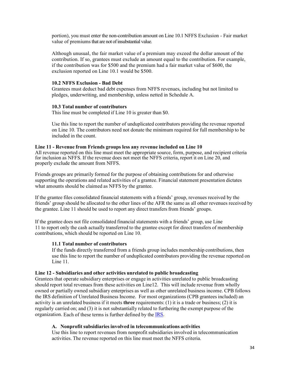portion), you must enter the non-contribution amount on Line 10.1 NFFS Exclusion - Fair market value of premiums that are not of insubstantial value.

Although unusual, the fair market value of a premium may exceed the dollar amount of the contribution. If so, grantees must exclude an amount equal to the contribution. For example, if the contribution was for \$500 and the premium had a fair market value of \$600, the exclusion reported on Line 10.1 would be \$500.

# **10.2 NFFS Exclusion - Bad Debt**

Grantees must deduct bad debt expenses from NFFS revenues, including but not limited to pledges, underwriting, and membership, unless netted in Schedule A.

### **10.3 Total number of contributors**

This line must be completed if Line 10 is greater than \$0.

Use this line to report the number of unduplicated contributors providing the revenue reported on Line 10. The contributors need not donate the minimum required for full membership to be included in the count.

### **Line 11 - Revenue from Friends groups less any revenue included on Line 10**

All revenue reported on this line must meet the appropriate source, form, purpose, and recipient criteria for inclusion as NFFS. If the revenue does not meet the NFFS criteria, report it on Line 20, and properly exclude the amount from NFFS.

Friends groups are primarily formed for the purpose of obtaining contributions for and otherwise supporting the operations and related activities of a grantee. Financial statement presentation dictates what amounts should be claimed as NFFS by the grantee.

If the grantee files consolidated financial statements with a friends' group, revenues received by the friends' group should be allocated to the other lines of the AFR the same as all other revenues received by the grantee. Line 11 should be used to report any direct transfers from friends' groups.

If the grantee does not file consolidated financial statements with a friends' group, use Line 11 to report only the cash actually transferred to the grantee except for direct transfers of membership contributions, which should be reported on Line 10.

# **11.1 Total number of contributors**

If the funds directly transferred from a friends group includes membership contributions, then use this line to report the number of unduplicated contributors providing the revenue reported on Line 11.

### **Line 12 - Subsidiaries and other activities unrelated to public broadcasting**

Grantees that operate subsidiary enterprises or engage in activities unrelated to public broadcasting should report total revenues from these activities on Line12. This will include revenue from wholly owned or partially owned subsidiary enterprises as well as other unrelated business income. CPB follows the IRS definition of Unrelated Business Income. For most organizations (CPB grantees included) an activity is an unrelated business if it meets **three** requirements: (1) it is a trade or business; (2) it is regularly carried on; and (3) it is not substantially related to furthering the exempt purpose of the organization. Each of these terms is further defined by the **IRS**.

# **A. Nonprofit subsidiaries involved in telecommunications activities**

Use this line to report revenues from nonprofit subsidiaries involved in telecommunication activities. The revenue reported on this line must meet the NFFS criteria.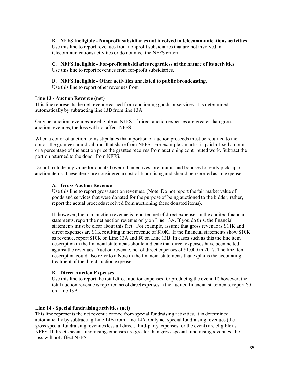**B. NFFS Ineligible - Nonprofit subsidiaries not involved in telecommunications activities**  Use this line to report revenues from nonprofit subsidiaries that are not involved in telecommunications activities or do not meet the NFFS criteria.

**C. NFFS Ineligible - For-profit subsidiaries regardless of the nature of its activities** Use this line to report revenues from for-profit subsidiaries.

### **D. NFFS Ineligible - Other activities unrelated to public broadcasting.**

Use this line to report other revenues from

### **Line 13 - Auction Revenue (net)**

This line represents the net revenue earned from auctioning goods or services. It is determined automatically by subtracting line 13B from line 13A.

Only net auction revenues are eligible as NFFS. If direct auction expenses are greater than gross auction revenues, the loss will not affect NFFS.

When a donor of auction items stipulates that a portion of auction proceeds must be returned to the donor, the grantee should subtract that share from NFFS. For example, an artist is paid a fixed amount or a percentage of the auction price the grantee receives from auctioning contributed work. Subtract the portion returned to the donor from NFFS.

Do not include any value for donated overbid incentives, premiums, and bonuses for early pick-up of auction items. These items are considered a cost of fundraising and should be reported as an expense.

### **A. Gross Auction Revenue**

Use this line to report gross auction revenues. (Note: Do not report the fair market value of goods and services that were donated for the purpose of being auctioned to the bidder; rather, report the actual proceeds received from auctioning these donated items).

If, however, the total auction revenue is reported net of direct expenses in the audited financial statements, report the net auction revenue only on Line 13A. If you do this, the financial statements must be clear about this fact. For example, assume that gross revenue is \$11K and direct expenses are \$1K resulting in net revenue of \$10K. If the financial statements show \$10K as revenue, report \$10K on Line 13A and \$0 on Line 13B. In cases such as this the line item description in the financial statements should indicate that direct expenses have been netted against the revenues: Auction revenue, net of direct expenses of \$1,000 in 2017. The line item description could also refer to a Note in the financial statements that explains the accounting treatment of the direct auction expenses.

### **B. Direct Auction Expenses**

Use this line to report the total direct auction expenses for producing the event. If, however, the total auction revenue is reported net of direct expenses in the audited financial statements, report \$0 on Line 13B.

### **Line 14 - Special fundraising activities (net)**

This line represents the net revenue earned from special fundraising activities. It is determined automatically by subtracting Line 14B from Line 14A. Only net special fundraising revenues (the gross special fundraising revenues less all direct, third-party expenses for the event) are eligible as NFFS. If direct special fundraising expenses are greater than gross special fundraising revenues, the loss will not affect NFFS.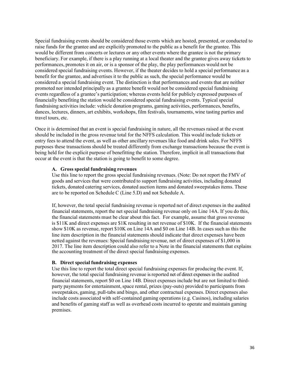Special fundraising events should be considered those events which are hosted, presented, or conducted to raise funds for the grantee and are explicitly promoted to the public as a benefit for the grantee. This would be different from concerts or lectures or any other events where the grantee is not the primary beneficiary. For example, if there is a play running at a local theater and the grantee gives away tickets to performances, promotes it on air, or is a sponsor of the play, the play performances would not be considered special fundraising events. However, if the theater decides to hold a special performance as a benefit for the grantee, and advertises it to the public as such, the special performance would be considered a special fundraising event. The distinction is that performances and events that are neither promoted nor intended principally as a grantee benefit would not be considered special fundraising events regardless of a grantee's participation; whereas events held for publicly expressed purposes of financially benefiting the station would be considered special fundraising events. Typical special fundraising activities include: vehicle donation programs, gaming activities, performances, benefits, dances, lectures, dinners, art exhibits, workshops, film festivals, tournaments, wine tasting parties and travel tours, etc.

Once it is determined that an event is special fundraising in nature, all the revenues raised at the event should be included in the gross revenue total for the NFFS calculation. This would include tickets or entry fees to attend the event, as well as other ancillary revenues like food and drink sales. For NFFS purposes these transactions should be treated differently from exchange transactions because the event is being held for the explicit purpose of benefitting the station. Therefore, implicit in all transactions that occur at the event is that the station is going to benefit to some degree.

### **A. Gross special fundraising revenues**

Use this line to report the gross special fundraising revenues. (Note: Do not report the FMV of goods and services that were contributed to support fundraising activities, including donated tickets, donated catering services, donated auction items and donated sweepstakes items. These are to be reported on Schedule C (Line 5.D) and not Schedule A.

If, however, the total special fundraising revenue is reported net of direct expenses in the audited financial statements, report the net special fundraising revenue only on Line 14A. If you do this, the financial statements must be clear about this fact. For example, assume that gross revenue is \$11K and direct expenses are \$1K resulting in net revenue of \$10K. If the financial statements show \$10K as revenue, report \$10K on Line 14A and \$0 on Line 14B. In cases such as this the line item description in the financial statements should indicate that direct expenses have been netted against the revenues: Special fundraising revenue, net of direct expenses of \$1,000 in 2017. The line item description could also refer to a Note in the financial statements that explains the accounting treatment of the direct special fundraising expenses.

# **B. Direct special fundraising expenses**

Use this line to report the total direct special fundraising expenses for producing the event. If, however, the total special fundraising revenue is reported net of direct expenses in the audited financial statements, report \$0 on Line 14B. Direct expenses include but are not limited to thirdparty payments for entertainment, space rental, prizes (pay-outs) provided to participants from sweepstakes, gaming, pull-tabs and bingo, and other contractual expenses. Direct expenses also include costs associated with self-contained gaming operations (e.g. Casinos), including salaries and benefits of gaming staff as well as overhead costs incurred to operate and maintain gaming premises.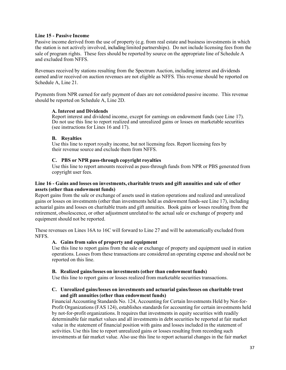# **Line 15 - Passive Income**

Passive income derived from the use of property (e.g. from real estate and business investments in which the station is not actively involved, including limited partnerships). Do not include licensing fees from the sale of program rights. These fees should be reported by source on the appropriate line of Schedule A and excluded from NFFS.

Revenues received by stations resulting from the Spectrum Auction, including interest and dividends earned and/or received on auction revenues are not eligible as NFFS. This revenue should be reported on Schedule A, Line 21.

Payments from NPR earned for early payment of dues are not considered passive income. This revenue should be reported on Schedule A, Line 2D.

# **A. Interest and Dividends**

Report interest and dividend income, except for earnings on endowment funds (see Line 17). Do not use this line to report realized and unrealized gains or losses on marketable securities (see instructions for Lines 16 and 17).

# **B. Royalties**

Use this line to report royalty income, but not licensing fees. Report licensing fees by their revenue source and exclude them from NFFS.

# **C. PBS or NPR pass-through copyright royalties**

Use this line to report amounts received as pass-through funds from NPR or PBS generated from copyright user fees.

# **Line 16 - Gains and losses on investments, charitable trusts and gift annuities and sale of other assets (other than endowment funds)**

Report gains from the sale or exchange of assets used in station operations and realized and unrealized gains or losses on investments (other than investments held as endowment funds-see Line 17), including actuarial gains and losses on charitable trusts and gift annuities. Book gains or losses resulting from the retirement, obsolescence, or other adjustment unrelated to the actual sale or exchange of property and equipment should not be reported.

These revenues on Lines 16A to 16C will forward to Line 27 and will be automatically excluded from NFFS.

# **A. Gains from sales of property and equipment**

Use this line to report gains from the sale or exchange of property and equipment used in station operations. Losses from these transactions are considered an operating expense and should not be reported on this line.

# **B. Realized gains/losses on investments (other than endowment funds)**

Use this line to report gains or losses realized from marketable securities transactions.

# **C. Unrealized gains/losses on investments and actuarial gains/losses on charitable trust and gift annuities (other than endowment funds)**

Financial Accounting Standards No. 124, Accounting for Certain Investments Held by Not-for-Profit Organizations (FAS 124), establishes standards for accounting for certain investments held by not-for-profit organizations. It requires that investments in equity securities with readily determinable fair market values and all investments in debt securities be reported at fair market value in the statement of financial position with gains and losses included in the statement of activities. Use this line to report unrealized gains or losses resulting from recording such investments at fair market value. Also use this line to report actuarial changes in the fair market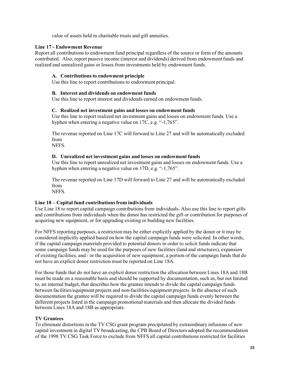value of assets held in charitable trusts and gift annuities.

# **Line 17 - Endowment Revenue**

Report all contributions to endowment fund principal regardless of the source or form of the amounts contributed. Also, report passive income (interest and dividends) derived from endowment funds and realized and unrealized gains or losses from investments held by endowment funds.

# **A. Contributionsto endowment principle**

Use this line to report contributions to endowment principal.

# **B. Interest and dividends on endowment funds**

Use this line to report interest and dividends earned on endowment funds.

# **C. Realized net investment gains and losses on endowment funds**

Use this line to report realized net investment gains and losses on endowment funds*.* Use a hyphen when entering a negative value on 17C, e.g. "-1,765".

The revenue reported on Line 17C will forward to Line 27 and will be automatically excluded from

NFFS.

# **D. Unrealized net investment gains and losses on endowment funds**

Use this line to report unrealized net investment gains and losses on endowment funds*.* Use a hyphen when entering a negative value on 17D, e.g. "-1,765".

The revenue reported on Line 17D will forward to Line 27 and will be automatically excluded from

NFFS.

# **Line 18 – Capital fund contributionsfrom individuals**

Use Line 18 to report capital campaign contributions from individuals. Also use this line to report gifts and contributions from individuals when the donor has restricted the gift or contribution for purposes of acquiring new equipment, or for upgrading existing or building new facilities.

For NFFS reporting purposes, a restriction may be either explicitly applied by the donor or it may be considered implicitly applied based on how the capital campaign funds were solicited. In other words, if the capital campaign materials provided to potential donors in order to solicit funds indicate that some campaign funds may be used for the purposes of new facilities (land and structures), expansion of existing facilities, and / or the acquisition of new equipment, a portion of the campaign funds that do not have an explicit donor restriction must be reported on Line 18A.

For those funds that do not have an explicit donor restriction the allocation between Lines 18A and 18B must be made on a reasonable basis and should be supported by documentation, such as, but not limited to, an internal budget, that describes how the grantee intends to divide the capital campaign funds between facilities/equipment projects and non-facilities/equipment projects. In the absence of such documentation the grantee will be required to divide the capital campaign funds evenly between the different projects listed in the campaign promotional materials and then allocate the divided funds between Lines 18A and 18B as appropriate.

# **TV Grantees**

To eliminate distortions in the TV CSG grant program precipitated by extraordinary infusions of new capital investment in digital TV broadcasting, the CPB Board of Directors adopted the recommendation of the 1998 TV CSG Task Force to exclude from NFFS all capital contributions restricted for facilities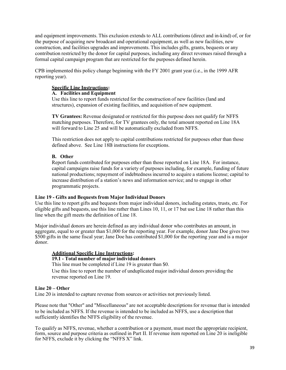and equipment improvements. This exclusion extends to ALL contributions (direct and in-kind) of, or for the purpose of acquiring new broadcast and operational equipment, as well as new facilities, new construction, and facilities upgrades and improvements. This includes gifts, grants, bequests or any contribution restricted by the donor for capital purposes, including any direct revenues raised through a formal capital campaign program that are restricted for the purposes defined herein.

CPB implemented this policy change beginning with the FY 2001 grant year (i.e., in the 1999 AFR reporting year).

# **Specific Line Instructions:**

### **A. Facilities and Equipment**

Use this line to report funds restricted for the construction of new facilities (land and structures), expansion of existing facilities, and acquisition of new equipment.

**TV Grantees:** Revenue designated or restricted for this purpose does not qualify for NFFS matching purposes. Therefore, for TV grantees only, the total amount reported on Line 18A will forward to Line 25 and will be automatically excluded from NFFS.

This restriction does not apply to capital contributions restricted for purposes other than those defined above. See Line 18B instructions for exceptions.

# **B. Other**

Report funds contributed for purposes other than those reported on Line 18A. For instance, capital campaigns raise funds for a variety of purposes including, for example, funding of future national productions; repayment of indebtedness incurred to acquire a stations license; capital to increase distribution of a station's news and information service; and to engage in other programmatic projects.

### **Line 19 - Gifts and Bequests from Major Individual Donors**

Use this line to report gifts and bequests from major individual donors, including estates, trusts, etc. For eligible gifts and bequests, use this line rather than Lines 10, 11, or 17 but use Line 18 rather than this line when the gift meets the definition of Line 18.

Major individual donors are herein defined as any individual donor who contributes an amount, in aggregate, equal to or greater than \$1,000 for the reporting year. For example, donor Jane Doe gives two \$500 gifts in the same fiscal year; Jane Doe has contributed \$1,000 for the reporting year and is a major donor.

# **Additional Specific Line Instructions:**

### **19.1 - Total number of major individual donors**

This line must be completed if Line 19 is greater than \$0.

Use this line to report the number of unduplicated major individual donors providing the revenue reported on Line 19.

# **Line 20 – Other**

Line 20 is intended to capture revenue from sources or activities not previously listed.

Please note that "Other" and "Miscellaneous" are not acceptable descriptions for revenue that is intended to be included as NFFS. If the revenue is intended to be included as NFFS, use a description that sufficiently identifies the NFFS eligibility of the revenue.

To qualify as NFFS, revenue, whether a contribution or a payment, must meet the appropriate recipient, form, source and purpose criteria as outlined in Part II. If revenue item reported on Line 20 is ineligible for NFFS, exclude it by clicking the "NFFS X" link.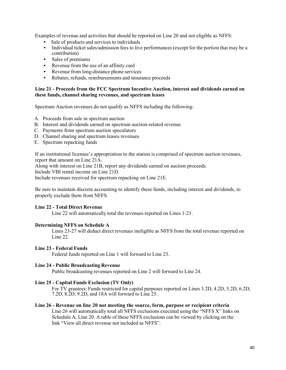Examples of revenue and activities that should be reported on Line 20 and not eligible as NFFS:

- Sale of products and services to individuals
- Individual ticket sales/admission fees to live performances (except for the portion that may be a contribution)
- Sales of premiums
- Revenue from the use of an affinity card
- Revenue from long-distance phone services
- Rebates, refunds, reimbursements and insurance proceeds

# **Line 21 - Proceeds from the FCC Spectrum Incentive Auction, interest and dividends earned on these funds, channel sharing revenues, and spectrum leases**

Spectrum Auction revenues do not qualify as NFFS including the following:

- A. Proceeds from sale in spectrum auction
- B. Interest and dividends earned on spectrum auction-related revenue
- C. Payments from spectrum auction speculators
- D. Channel sharing and spectrum leases revenues
- E. Spectrum repacking funds

If an institutional licensee's appropriation to the station is comprised of spectrum auction revenues, report that amount on Line 21A.

Along with interest on Line 21B, report any dividends earned on auction proceeds.

Include VBI rental income on Line 21D.

Include revenues received for spectrum repacking on Line 21E.

Be sure to maintain discrete accounting to identify these funds, including interest and dividends, to properly exclude them from NFFS.

# **Line 22 - Total Direct Revenue**

Line 22 will automatically total the revenues reported on Lines 1-21.

# **Determining NFFS on Schedule A**

Lines 23-27 will deduct direct revenues ineligible as NFFS from the total revenue reported on Line 22.

# **Line 23 - Federal Funds**

Federal funds reported on Line 1 will forward to Line 23.

# **Line 24 - Public Broadcasting Revenue**

Public broadcasting revenues reported on Line 2 will forward to Line 24.

# **Line 25 - Capital Funds Exclusion (TV Only)**

For TV grantees: Funds restricted for capital purposes reported on Lines 3.2D, 4.2D, 5.2D, 6.2D, 7.2D, 8.2D, 9.2D, and 18A will forward to Line 25.

# **Line 26 - Revenue on line 20 not meeting the source, form, purpose or recipient criteria**

Line 26 will automatically total all NFFS exclusions executed using the "NFFS X" links on Schedule A, Line 20. A table of these NFFS exclusions can be viewed by clicking on the link "View all direct revenue not included as NFFS".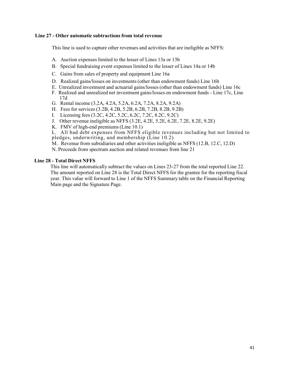# **Line 27 - Other automatic subtractionsfrom total revenue**

This line is used to capture other revenues and activities that are ineligible as NFFS:

- A. Auction expenses limited to the lesser of Lines 13a or 13b
- B. Special fundraising event expenses limited to the lesser of Lines 14a or 14b
- C. Gains from sales of property and equipment Line 16a
- D. Realized gains/losses on investments(other than endowment funds) Line 16b
- E. Unrealized investment and actuarial gains/losses (other than endowment funds) Line 16c
- F. Realized and unrealized net investment gains/losses on endowment funds Line 17c, Line 17d
- G. Rental income (3.2A, 4.2A, 5.2A, 6.2A, 7.2A, 8.2A, 9.2A)
- H. Fees for services (3.2B, 4.2B, 5.2B, 6.2B, 7.2B, 8.2B, 9.2B)
- I. Licensing fees (3.2C, 4.2C, 5.2C, 6.2C, 7.2C, 8.2C, 9.2C)
- J. Other revenue ineligible as NFFS (3.2E, 4.2E, 5.2E, 6.2E, 7.2E, 8.2E, 9.2E)
- K. FMV of high-end premiums (Line 10.1)

L. All bad debt expenses from NFFS eligible revenues including but not limited to pledges, underwriting, and membership (Line 10.2)

- M. Revenue from subsidiaries and other activities ineligible as NFFS (12.B, 12.C, 12.D)
- N. Proceeds from spectrum auction and related revenues from line 21

# **Line 28 - Total Direct NFFS**

This line will automatically subtract the values on Lines 23-27 from the total reported Line 22. The amount reported on Line 28 is the Total Direct NFFS for the grantee for the reporting fiscal year. This value will forward to Line 1 of the NFFS Summary table on the Financial Reporting Main page and the Signature Page.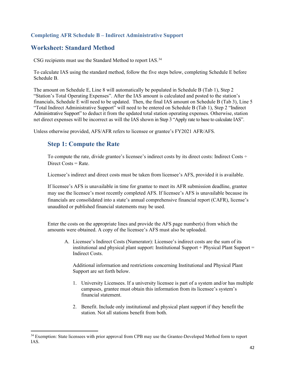# **Completing AFR Schedule B – Indirect Administrative Support**

# **Worksheet: Standard Method**

CSG recipients must use the Standard Method to report IAS[.34](#page-41-0)

To calculate IAS using the standard method, follow the five steps below, completing Schedule E before Schedule B.

The amount on Schedule E, Line 8 will automatically be populated in Schedule B (Tab 1), Step 2 "Station's Total Operating Expenses". After the IAS amount is calculated and posted to the station's financials, Schedule E will need to be updated. Then, the final IAS amount on Schedule B (Tab 3), Line 5 "Total Indirect Administrative Support" will need to be entered on Schedule B (Tab 1), Step 2 "Indirect Administrative Support" to deduct it from the updated total station operating expenses. Otherwise, station net direct expenses will be incorrect as will the IAS shown in Step 3 "Apply rate to base to calculate IAS".

Unless otherwise provided, AFS/AFR refers to licensee or grantee's FY2021 AFR/AFS.

# **Step 1: Compute the Rate**

To compute the rate, divide grantee's licensee's indirect costs by its direct costs: Indirect Costs ÷ Direct  $Cost = Rate$ .

Licensee's indirect and direct costs must be taken from licensee's AFS, provided it is available.

If licensee's AFS is unavailable in time for grantee to meet its AFR submission deadline, grantee may use the licensee's most recently completed AFS. If licensee's AFS is unavailable because its financials are consolidated into a state's annual comprehensive financial report (CAFR), license's unaudited or published financial statements may be used.

Enter the costs on the appropriate lines and provide the AFS page number(s) from which the amounts were obtained. A copy of the licensee's AFS must also be uploaded.

A. Licensee's Indirect Costs (Numerator): Licensee's indirect costs are the sum of its institutional and physical plant support: Institutional Support + Physical Plant Support = Indirect Costs.

Additional information and restrictions concerning Institutional and Physical Plant Support are set forth below.

- 1. University Licensees. If a university licensee is part of a system and/or has multiple campuses, grantee must obtain this information from its licensee's system's financial statement.
- 2. Benefit. Include only institutional and physical plant support if they benefit the station. Not all stations benefit from both.

<span id="page-41-0"></span><sup>&</sup>lt;sup>34</sup> Exemption: State licensees with prior approval from CPB may use the Grantee-Developed Method form to report IAS.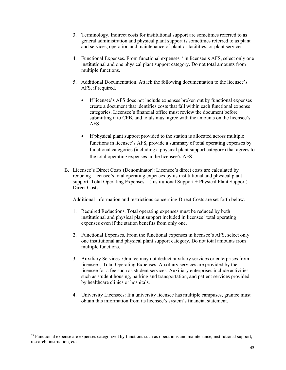- 3. Terminology. Indirect costs for institutional support are sometimes referred to as general administration and physical plant support is sometimes referred to as plant and services, operation and maintenance of plant or facilities, or plant services.
- 4. Functional Expenses. From functional expenses<sup>[35](#page-42-0)</sup> in licensee's AFS, select only one institutional and one physical plant support category. Do not total amounts from multiple functions.
- 5. Additional Documentation. Attach the following documentation to the licensee's AFS, if required.
	- If licensee's AFS does not include expenses broken out by functional expenses create a document that identifies costs that fall within each functional expense categories. Licensee's financial office must review the document before submitting it to CPB, and totals must agree with the amounts on the licensee's AFS.
	- If physical plant support provided to the station is allocated across multiple functions in licensee's AFS, provide a summary of total operating expenses by functional categories (including a physical plant support category) that agrees to the total operating expenses in the licensee's AFS.
- B. Licensee's Direct Costs (Denominator): Licensee's direct costs are calculated by reducing Licensee's total operating expenses by its institutional and physical plant support: Total Operating Expenses – (Institutional Support + Physical Plant Support) = Direct Costs.

Additional information and restrictions concerning Direct Costs are set forth below.

- 1. Required Reductions. Total operating expenses must be reduced by both institutional and physical plant support included in licensee' total operating expenses even if the station benefits from only one.
- 2. Functional Expenses. From the functional expenses in licensee's AFS, select only one institutional and physical plant support category. Do not total amounts from multiple functions.
- 3. Auxiliary Services. Grantee may not deduct auxiliary services or enterprises from licensee's Total Operating Expenses. Auxiliary services are provided by the licensee for a fee such as student services. Auxiliary enterprises include activities such as student housing, parking and transportation, and patient services provided by healthcare clinics or hospitals.
- 4. University Licensees: If a university licensee has multiple campuses, grantee must obtain this information from its licensee's system's financial statement.

<span id="page-42-0"></span><sup>&</sup>lt;sup>35</sup> Functional expense are expenses categorized by functions such as operations and maintenance, institutional support, research, instruction, etc.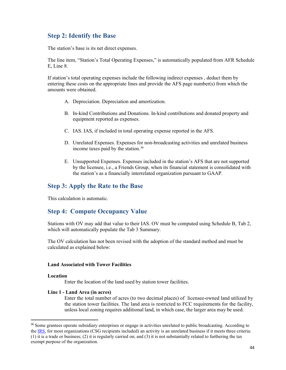# **Step 2: Identify the Base**

The station's base is its net direct expenses.

The line item, "Station's Total Operating Expenses," is automatically populated from AFR Schedule E, Line 8.

If station's total operating expenses include the following indirect expenses , deduct them by entering these costs on the appropriate lines and provide the AFS page number(s) from which the amounts were obtained.

- A. Depreciation. Depreciation and amortization.
- B. In-kind Contributions and Donations. In-kind contributions and donated property and equipment reported as expenses.
- C. IAS. IAS, if included in total operating expense reported in the AFS.
- D. Unrelated Expenses. Expenses for non-broadcasting activities and unrelated business income taxes paid by the station.[36](#page-43-0)
- E. Unsupported Expenses. Expenses included in the station's AFS that are not supported by the licensee, i.e., a Friends Group, when its financial statement is consolidated with the station's as a financially interrelated organization pursuant to GAAP.

# **Step 3: Apply the Rate to the Base**

This calculation is automatic.

# **Step 4: Compute Occupancy Value**

Stations with OV may add that value to their IAS. OV must be computed using Schedule B, Tab 2, which will automatically populate the Tab 3 Summary.

The OV calculation has not been revised with the adoption of the standard method and must be calculated as explained below:

### **Land Associated with Tower Facilities**

### **Location**

Enter the location of the land used by station tower facilities.

### **Line 1 - Land Area (in acres)**

Enter the total number of acres (to two decimal places) of licensee-owned land utilized by the station tower facilities. The land area is restricted to FCC requirements for the facility, unless local zoning requires additional land, in which case, the larger area may be used.

<span id="page-43-0"></span><sup>&</sup>lt;sup>36</sup> Some grantees operate subsidiary enterprises or engage in activities unrelated to public broadcasting. According to the [IRS,](https://www.irs.gov/charities-non-profits/unrelated-business-income-defined) for most organizations (CSG recipients included) an activity is an unrelated business if it meets three criteria: (1) it is a trade or business; (2) it is regularly carried on; and (3) it is not substantially related to furthering the tax exempt purpose of the organization.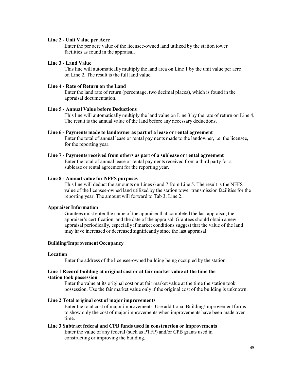### **Line 2 - Unit Value per Acre**

Enter the per acre value of the licensee-owned land utilized by the station tower facilities as found in the appraisal.

#### **Line 3 - Land Value**

This line will automatically multiply the land area on Line 1 by the unit value per acre on Line 2. The result is the full land value.

### **Line 4 - Rate of Return on the Land**

Enter the land rate of return (percentage, two decimal places), which is found in the appraisal documentation.

#### **Line 5 - Annual Value before Deductions**

This line will automatically multiply the land value on Line 3 by the rate of return on Line 4. The result is the annual value of the land before any necessary deductions.

### **Line 6 - Payments made to landowner as part of a lease or rental agreement**

Enter the total of annual lease or rental payments made to the landowner, i.e. the licensee, for the reporting year.

### **Line 7 - Payments received from others as part of a sublease or rental agreement**

Enter the total of annual lease or rental payments received from a third party for a sublease or rental agreement for the reporting year.

### **Line 8 - Annual value for NFFS purposes**

This line will deduct the amounts on Lines 6 and 7 from Line 5. The result is the NFFS value of the licensee-owned land utilized by the station tower transmission facilities for the reporting year. The amount will forward to Tab 3, Line 2.

### **Appraiser Information**

Grantees must enter the name of the appraiser that completed the last appraisal, the appraiser's certification, and the date of the appraisal. Grantees should obtain a new appraisal periodically, especially if market conditions suggest that the value of the land may have increased or decreased significantly since the last appraisal.

### **Building/Improvement Occupancy**

#### **Location**

Enter the address of the licensee-owned building being occupied by the station.

# **Line 1 Record building at original cost or at fair market value at the time the**

# **station took possession**

Enter the value at its original cost or at fair market value at the time the station took possession. Use the fair market value only if the original cost of the building is unknown.

### **Line 2 Total original cost of major improvements**

Enter the total cost of major improvements. Use additional Building/Improvementforms to show only the cost of major improvements when improvements have been made over time.

# **Line 3 Subtract federal and CPB funds used in construction or improvements** Enter the value of any federal (such as PTFP) and/or CPB grants used in

constructing or improving the building.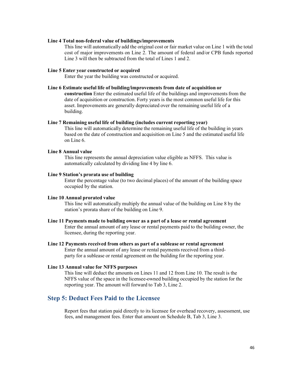### **Line 4 Total non-federal value of buildings/improvements**

This line will automatically add the original cost or fair market value on Line 1 with the total cost of major improvements on Line 2. The amount of federal and/or CPB funds reported Line 3 will then be subtracted from the total of Lines 1 and 2.

#### **Line 5 Enter year constructed or acquired**

Enter the year the building was constructed or acquired.

#### **Line 6 Estimate useful life of building/improvements from date of acquisition or**

**construction** Enter the estimated useful life of the buildings and improvementsfrom the date of acquisition or construction. Forty years is the most common useful life for this asset. Improvements are generally depreciated over the remaining useful life of a building.

### **Line 7 Remaining useful life of building (includes current reporting year)**

This line will automatically determine the remaining useful life of the building in years based on the date of construction and acquisition on Line 5 and the estimated useful life on Line 6.

# **Line 8 Annual value**

This line represents the annual depreciation value eligible as NFFS. This value is automatically calculated by dividing line 4 by line 6.

# **Line 9 Station's prorata use of building**

Enter the percentage value (to two decimal places) of the amount of the building space occupied by the station.

### **Line 10 Annual prorated value**

This line will automatically multiply the annual value of the building on Line 8 by the station's prorata share of the building on Line 9.

### **Line 11 Payments made to building owner as a part of a lease or rental agreement**

Enter the annual amount of any lease or rental payments paid to the building owner, the licensee, during the reporting year.

### **Line 12 Payments received from others as part of a sublease or rental agreement** Enter the annual amount of any lease or rental payments received from a thirdparty for a sublease or rental agreement on the building for the reporting year.

### **Line 13 Annual value for NFFS purposes**

This line will deduct the amounts on Lines 11 and 12 from Line 10. The result is the NFFS value of the space in the licensee-owned building occupied by the station for the reporting year. The amount will forward to Tab 3, Line 2.

# **Step 5: Deduct Fees Paid to the Licensee**

Report fees that station paid directly to its licensee for overhead recovery, assessment, use fees, and management fees. Enter that amount on Schedule B, Tab 3, Line 3.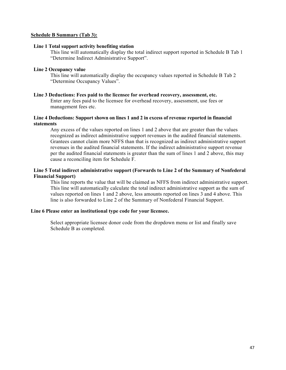# **Schedule B Summary (Tab 3):**

### **Line 1 Total support activity benefiting station**

This line will automatically display the total indirect support reported in Schedule B Tab 1 "Determine Indirect Administrative Support".

### **Line 2 Occupancy value**

This line will automatically display the occupancy values reported in Schedule B Tab 2 "Determine Occupancy Values".

### **Line 3 Deductions: Fees paid to the licensee for overhead recovery, assessment, etc.**

Enter any fees paid to the licensee for overhead recovery, assessment, use fees or management fees etc.

### **Line 4 Deductions: Support shown on lines 1 and 2 in excess of revenue reported in financial statements**

Any excess of the values reported on lines 1 and 2 above that are greater than the values recognized as indirect administrative support revenues in the audited financial statements. Grantees cannot claim more NFFS than that is recognized as indirect administrative support revenues in the audited financial statements. If the indirect administrative support revenue per the audited financial statements is greater than the sum of lines 1 and 2 above, this may cause a reconciling item for Schedule F.

# **Line 5 Total indirect administrative support (Forwards to Line 2 of the Summary of Nonfederal Financial Support)**

This line reports the value that will be claimed as NFFS from indirect administrative support. This line will automatically calculate the total indirect administrative support as the sum of values reported on lines 1 and 2 above, less amounts reported on lines 3 and 4 above. This line is also forwarded to Line 2 of the Summary of Nonfederal Financial Support.

# **Line 6 Please enter an institutional type code for your licensee.**

Select appropriate licensee donor code from the dropdown menu or list and finally save Schedule B as completed.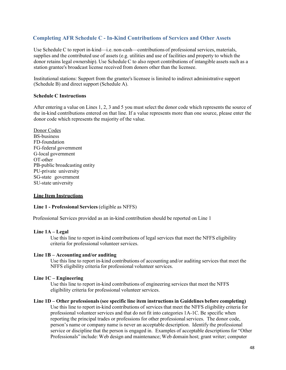# **Completing AFR Schedule C - In-Kind Contributions of Services and Other Assets**

Use Schedule C to report in-kind—i.e. non-cash—contributions of professional services, materials, supplies and the contributed use of assets (e.g. utilities and use of facilities and property to which the donor retains legal ownership). Use Schedule C to also report contributions of intangible assets such as a station grantee's broadcast license received from donors other than the licensee.

Institutional stations: Support from the grantee's licensee is limited to indirect administrative support (Schedule B) and direct support (Schedule A).

### **Schedule C Instructions**

After entering a value on Lines 1, 2, 3 and 5 you must select the donor code which represents the source of the in-kind contributions entered on that line. If a value represents more than one source, please enter the donor code which represents the majority of the value.

Donor Codes BS-business FD-foundation FG-federal government G-local government OT-other PB-public broadcasting entity PU-private university SG-state government SU-state university

### **Line Item Instructions**

#### **Line 1 - Professional Services** (eligible as NFFS)

Professional Services provided as an in-kind contribution should be reported on Line 1

#### **Line 1A – Legal**

Use this line to report in-kind contributions of legal services that meet the NFFS eligibility criteria for professional volunteer services.

### **Line 1B – Accounting and/or auditing**

Use this line to report in-kind contributions of accounting and/or auditing services that meet the NFFS eligibility criteria for professional volunteer services.

### **Line 1C – Engineering**

Use this line to report in-kind contributions of engineering services that meet the NFFS eligibility criteria for professional volunteer services.

#### **Line 1D – Other professionals(see specific line item instructions in Guidelines before completing)**

Use this line to report in-kind contributions of services that meet the NFFS eligibility criteria for professional volunteer services and that do not fit into categories 1A-1C. Be specific when reporting the principal trades or professions for other professional services. The donor code, person's name or company name is never an acceptable description. Identify the professional service or discipline that the person is engaged in. Examples of acceptable descriptions for "Other Professionals" include: Web design and maintenance; Web domain host; grant writer; computer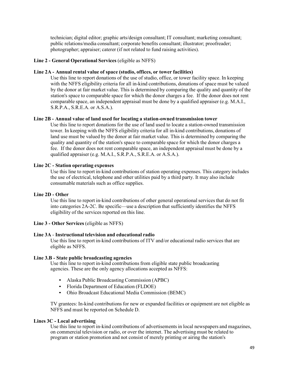technician; digital editor; graphic arts/design consultant; IT consultant; marketing consultant; public relations/media consultant; corporate benefits consultant; illustrator; proofreader; photographer; appraiser; caterer (if not related to fund raising activities).

### **Line 2 - General Operational Services** (eligible as NFFS)

# **Line 2A - Annual rental value of space (studio, offices, or tower facilities)**

Use this line to report donations of the use of studio, office, or tower facility space. In keeping with the NFFS eligibility criteria for all in-kind contributions, donations of space must be valued by the donor at fair market value. This is determined by comparing the quality and quantity of the station's space to comparable space for which the donor charges a fee. If the donor does not rent comparable space, an independent appraisal must be done by a qualified appraiser (e.g. M.A.I., S.R.P.A., S.R.E.A. or A.S.A.).

# **Line 2B - Annual value of land used for locating a station-owned transmission tower**

Use this line to report donations for the use of land used to locate a station-owned transmission tower. In keeping with the NFFS eligibility criteria for all in-kind contributions, donations of land use must be valued by the donor at fair market value. This is determined by comparing the quality and quantity of the station's space to comparable space for which the donor charges a fee. If the donor does not rent comparable space, an independent appraisal must be done by a qualified appraiser (e.g. M.A.I., S.R.P.A., S.R.E.A. or A.S.A.).

#### **Line 2C - Station operating expenses**

Use this line to report in-kind contributions of station operating expenses. This category includes the use of electrical, telephone and other utilities paid by a third party. It may also include consumable materials such as office supplies.

#### **Line 2D - Other**

Use this line to report in-kind contributions of other general operational services that do not fit into categories 2A-2C. Be specific—use a description that sufficiently identifies the NFFS eligibility of the services reported on this line.

### **Line 3 - Other Services** (eligible as NFFS)

### **Line 3A** - **Instructional television and educational radio**

Use this line to report in-kind contributions of ITV and/or educational radio services that are eligible as NFFS.

#### **Line 3.B - State public broadcasting agencies**

Use this line to report in-kind contributions from eligible state public broadcasting agencies. These are the only agency allocations accepted as NFFS:

- Alaska Public Broadcasting Commission (APBC)
- Florida Department of Education (FLDOE)
- Ohio Broadcast Educational Media Commission (BEMC)

TV grantees: In-kind contributions for new or expanded facilities or equipment are not eligible as NFFS and must be reported on Schedule D.

### **Lines 3C - Local advertising**

Use this line to report in-kind contributions of advertisements in local newspapers and magazines, on commercial television or radio, or over the internet. The advertising must be related to program or station promotion and not consist of merely printing or airing the station's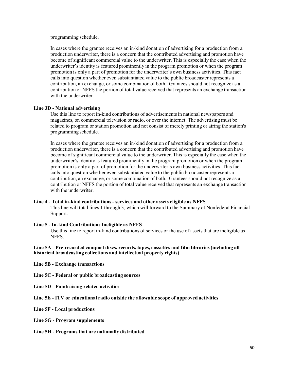programming schedule.

In cases where the grantee receives an in-kind donation of advertising for a production from a production underwriter, there is a concern that the contributed advertising and promotion have become of significant commercial value to the underwriter. This is especially the case when the underwriter's identity is featured prominently in the program promotion or when the program promotion is only a part of promotion for the underwriter's own business activities. This fact calls into question whether even substantiated value to the public broadcaster represents a contribution, an exchange, or some combination of both. Grantees should not recognize as a contribution or NFFS the portion of total value received that represents an exchange transaction with the underwriter.

### **Line 3D - National advertising**

Use this line to report in-kind contributions of advertisementsin national newspapers and magazines, on commercial television or radio, or over the internet. The advertising must be related to program or station promotion and not consist of merely printing or airing the station's programming schedule.

In cases where the grantee receives an in-kind donation of advertising for a production from a production underwriter, there is a concern that the contributed advertising and promotion have become of significant commercial value to the underwriter. This is especially the case when the underwriter's identity is featured prominently in the program promotion or when the program promotion is only a part of promotion for the underwriter's own business activities. This fact calls into question whether even substantiated value to the public broadcaster represents a contribution, an exchange, or some combination of both. Grantees should not recognize as a contribution or NFFS the portion of total value received that represents an exchange transaction with the underwriter.

#### **Line 4 - Total in-kind contributions- services and other assets eligible as NFFS**

This line will total lines 1 through 3, which will forward to the Summary of Nonfederal Financial Support.

#### **Line 5 - In-kind ContributionsIneligible as NFFS**

Use this line to report in-kind contributions of services or the use of assets that are ineligible as NFFS.

### **Line 5A - Pre-recorded compact discs, records, tapes, cassettes and film libraries (including all historical broadcasting collections and intellectual property rights)**

**Line 5B - Exchange transactions**

- **Line 5C - Federal or public broadcasting sources**
- **Line 5D - Fundraising related activities**
- **Line 5E - ITV or educational radio outside the allowable scope of approved activities**
- **Line 5F - Local productions**
- **Line 5G - Program supplements**
- **Line 5H - Programs that are nationally distributed**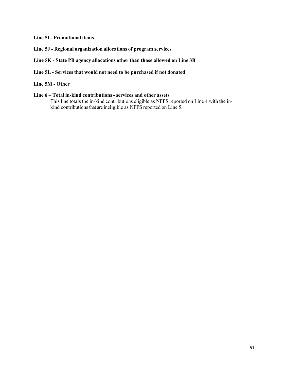# **Line 5I - Promotional items**

**Line 5J - Regional organization allocations of program services**

### **Line 5K - State PB agency allocations other than those allowed on Line 3B**

# **Line 5L - Services that would not need to be purchased if not donated**

# **Line 5M - Other**

# **Line 6 – Total in-kind contributions- services and other assets**

This line totals the in-kind contributions eligible as NFFS reported on Line 4 with the inkind contributions that are ineligible as NFFS reported on Line 5.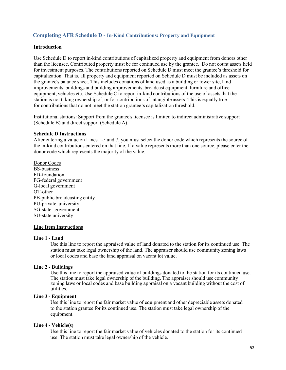# **Completing AFR Schedule D - In-Kind Contributions: Property and Equipment**

### **Introduction**

Use Schedule D to report in-kind contributions of capitalized property and equipment from donors other than the licensee. Contributed property must be for continued use by the grantee. Do not count assets held for investment purposes. The contributions reported on Schedule D must meet the grantee's threshold for capitalization. That is, all property and equipment reported on Schedule D must be included as assets on the grantee's balance sheet. This includes donations of land used as a building or tower site, land improvements, buildings and building improvements, broadcast equipment, furniture and office equipment, vehicles etc. Use Schedule C to report in-kind contributions of the use of assets that the station is not taking ownership of, or for contributions of intangible assets. This is equally true for contributions that do not meet the station grantee's capitalization threshold.

Institutional stations: Support from the grantee's licensee is limited to indirect administrative support (Schedule B) and direct support (Schedule A).

### **Schedule D Instructions**

After entering a value on Lines 1-5 and 7, you must select the donor code which represents the source of the in-kind contributions entered on that line. If a value represents more than one source, please enter the donor code which represents the majority of the value.

Donor Codes BS-business FD-foundation FG-federal government G-local government OT-other PB-public broadcasting entity PU-private university SG-state government SU-state university

### **Line Item Instructions**

### **Line 1 - Land**

Use this line to report the appraised value of land donated to the station for its continued use. The station must take legal ownership of the land. The appraiser should use community zoning laws or local codes and base the land appraisal on vacant lot value.

### **Line 2 - Buildings**

Use this line to report the appraised value of buildings donated to the station for its continued use. The station must take legal ownership of the building. The appraiser should use community zoning laws or local codes and base building appraisal on a vacant building without the cost of utilities.

### **Line 3 - Equipment**

Use this line to report the fair market value of equipment and other depreciable assets donated to the station grantee for its continued use. The station must take legal ownership of the equipment.

# **Line 4 - Vehicle(s)**

Use this line to report the fair market value of vehicles donated to the station for its continued use. The station must take legal ownership of the vehicle.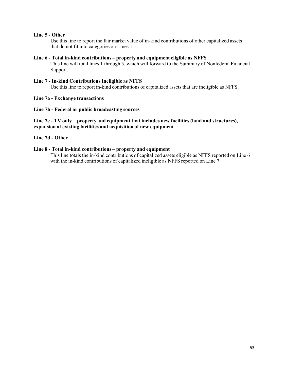# **Line 5 - Other**

Use this line to report the fair market value of in-kind contributions of other capitalized assets that do not fit into categories on Lines 1-5.

# **Line 6 - Total in-kind contributions – property and equipment eligible as NFFS** This line will total lines 1 through 5, which will forward to the Summary of Nonfederal Financial Support.

# **Line 7 - In-kind ContributionsIneligible as NFFS**

Use this line to report in-kind contributions of capitalized assets that are ineligible as NFFS.

### **Line 7a - Exchange transactions**

### **Line 7b - Federal or public broadcasting sources**

# **Line 7c - TV only—property and equipment that includes new facilities (land and structures), expansion of existing facilities and acquisition of new equipment**

### **Line 7d - Other**

### **Line 8 - Total in-kind contributions – property and equipment**

This line totals the in-kind contributions of capitalized assets eligible as NFFS reported on Line 6 with the in-kind contributions of capitalized ineligible as NFFS reported on Line 7.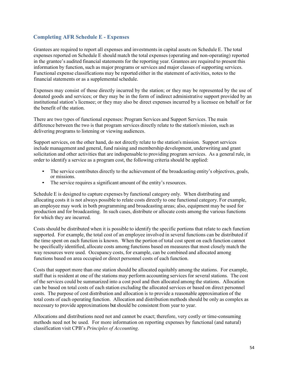# **Completing AFR Schedule E - Expenses**

Grantees are required to report all expenses and investmentsin capital assets on Schedule E. The total expenses reported on Schedule E should match the total expenses (operating and non-operating) reported in the grantee's audited financial statements for the reporting year. Grantees are required to present this information by function, such as major programs or services and major classes of supporting services. Functional expense classifications may be reported either in the statement of activities, notes to the financial statements or as a supplemental schedule.

Expenses may consist of those directly incurred by the station; or they may be represented by the use of donated goods and services; or they may be in the form of indirect administrative support provided by an institutional station's licensee; or they may also be direct expenses incurred by a licensee on behalf or for the benefit of the station.

There are two types of functional expenses: Program Services and Support Services. The main difference between the two is that program services directly relate to the station's mission, such as delivering programs to listening or viewing audiences.

Support services, on the other hand, do not directly relate to the station's mission. Support services include management and general, fund raising and membership development, underwriting and grant solicitation and other activities that are indispensable to providing program services. As a general rule, in order to identify a service as a program cost, the following criteria should be applied:

- The service contributes directly to the achievement of the broadcasting entity's objectives, goals, or missions.
- The service requires a significant amount of the entity's resources.

Schedule E is designed to capture expenses by functional category only. When distributing and allocating costs it is not always possible to relate costs directly to one functional category. For example, an employee may work in both programming and broadcasting areas; also, equipment may be used for production and for broadcasting. In such cases, distribute or allocate costs among the various functions for which they are incurred.

Costs should be distributed when it is possible to identify the specific portions that relate to each function supported. For example, the total cost of an employee involved in several functions can be distributed if the time spent on each function is known. When the portion of total cost spent on each function cannot be specifically identified, allocate costs among functions based on measures that most closely match the way resources were used. Occupancy costs, for example, can be combined and allocated among functions based on area occupied or direct personnel costs of each function.

Costs that support more than one station should be allocated equitably among the stations. For example, staff that is resident at one of the stations may perform accounting services for several stations. The cost of the services could be summarized into a cost pool and then allocated among the stations. Allocation can be based on total costs of each station excluding the allocated services or based on direct personnel costs. The purpose of cost distribution and allocation is to provide a reasonable approximation of the total costs of each operating function. Allocation and distribution methods should be only as complex as necessary to provide approximations but should be consistent from year to year.

Allocations and distributions need not and cannot be exact; therefore, very costly or time-consuming methods need not be used. For more information on reporting expenses by functional (and natural) classification visit CPB's *Principles of Accounting*.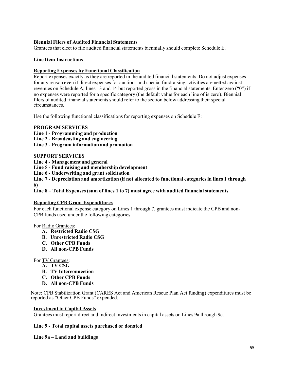# **Biennial Filers of Audited Financial Statements**

Grantees that elect to file audited financial statements biennially should complete Schedule E.

# **Line Item Instructions**

# **Reporting Expenses by Functional Classification**

Report expenses exactly as they are reported in the audited financial statements. Do not adjust expenses for any reason even if direct expenses for auctions and special fundraising activities are netted against revenues on Schedule A, lines 13 and 14 but reported gross in the financial statements. Enter zero ("0") if no expenses were reported for a specific category (the default value for each line of is zero). Biennial filers of audited financial statements should refer to the section below addressing their special circumstances.

Use the following functional classifications for reporting expenses on Schedule E:

# **PROGRAM SERVICES**

**Line 1 - Programming and production**

**Line 2 - Broadcasting and engineering**

**Line 3 - Program information and promotion**

### **SUPPORT SERVICES**

**Line 4 - Management and general**

**Line 5 - Fund raising and membership development**

**Line 6 - Underwriting and grant solicitation**

**Line 7 - Depreciation and amortization (if not allocated to functional categories in lines 1 through 6)**

**Line 8 – Total Expenses (sum of lines 1 to 7) must agree with audited financial statements**

### **Reporting CPB Grant Expenditures**

For each functional expense category on Lines 1 through 7, grantees must indicate the CPB and non-CPB funds used under the following categories.

For Radio Grantees:

- **A. Restricted Radio CSG**
- **B. Unrestricted Radio CSG**
- **C. Other CPB Funds**
- **D. All non-CPB Funds**

For TV Grantees:

- **A. TV CSG**
- **B. TV Interconnection**
- **C. Other CPB Funds**
- **D. All non-CPB Funds**

Note: CPB Stabilization Grant (CARES Act and American Rescue Plan Act funding) expenditures must be reported as "Other CPB Funds" expended.

### **Investment in Capital Assets**

Grantees must report direct and indirect investments in capital assets on Lines 9a through 9c.

# **Line 9 - Total capital assets purchased or donated**

### **Line 9a – Land and buildings**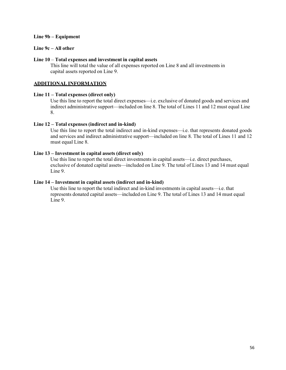### **Line 9b – Equipment**

### **Line 9c – All other**

# **Line 10** – **Total expenses and investment in capital assets**

This line will total the value of all expenses reported on Line 8 and all investments in capital assets reported on Line 9.

### **ADDITIONAL INFORMATION**

### **Line 11 – Total expenses (direct only)**

Use this line to report the total direct expenses—i.e. exclusive of donated goods and services and indirect administrative support—included on line 8. The total of Lines 11 and 12 must equal Line 8.

### **Line 12 – Total expenses (indirect and in-kind)**

Use this line to report the total indirect and in-kind expenses—i.e. that represents donated goods and services and indirect administrative support—included on line 8. The total of Lines 11 and 12 must equal Line 8.

### **Line 13 – Investment in capital assets (direct only)**

Use this line to report the total direct investments in capital assets—i.e. direct purchases, exclusive of donated capital assets—included on Line 9. The total of Lines 13 and 14 must equal Line 9.

### **Line 14 – Investment in capital assets (indirect and in-kind)**

Use this line to report the total indirect and in-kind investments in capital assets—i.e. that represents donated capital assets—included on Line 9. The total of Lines 13 and 14 must equal Line 9.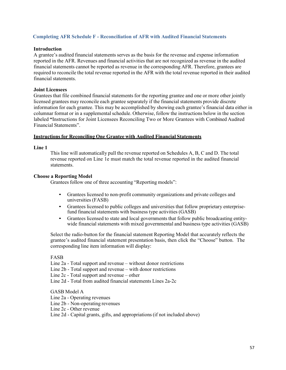# **Completing AFR Schedule F - Reconciliation of AFR with Audited Financial Statements**

### **Introduction**

A grantee's audited financial statements serves as the basis for the revenue and expense information reported in the AFR. Revenues and financial activities that are not recognized as revenue in the audited financial statements cannot be reported as revenue in the corresponding AFR. Therefore, grantees are required to reconcile the total revenue reported in the AFR with the total revenue reported in their audited financial statements.

### **Joint Licensees**

Grantees that file combined financial statements for the reporting grantee and one or more other jointly licensed grantees may reconcile each grantee separately if the financial statements provide discrete information for each grantee. This may be accomplished by showing each grantee's financial data either in columnar format or in a supplemental schedule. Otherwise, follow the instructions below in the section labeled **"**Instructions for Joint Licensees Reconciling Two or More Grantees with Combined Audited Financial Statements".

### **Instructions for Reconciling One Grantee with Audited Financial Statements**

### **Line 1**

This line will automatically pull the revenue reported on Schedules A, B, C and D. The total revenue reported on Line 1e must match the total revenue reported in the audited financial statements.

### **Choose a Reporting Model**

Grantees follow one of three accounting "Reporting models":

- Grantees licensed to non-profit community organizations and private colleges and universities (FASB)
- Grantees licensed to public colleges and universities that follow proprietary enterprisefund financial statements with business type activities (GASB)
- Grantees licensed to state and local governments that follow public broadcasting entitywide financial statements with mixed governmental and business type activities (GASB)

Select the radio-button for the financial statement Reporting Model that accurately reflects the grantee's audited financial statement presentation basis, then click the "Choose" button. The corresponding line item information will display:

FASB

Line 2a - Total support and revenue – without donor restrictions

Line 2b - Total support and revenue – with donor restrictions

Line 2c - Total support and revenue – other

Line 2d - Total from audited financial statements Lines 2a-2c

GASB Model A

Line 2a - Operating revenues

- Line 2b Non-operating revenues
- Line 2c Other revenue
- Line 2d Capital grants, gifts, and appropriations (if not included above)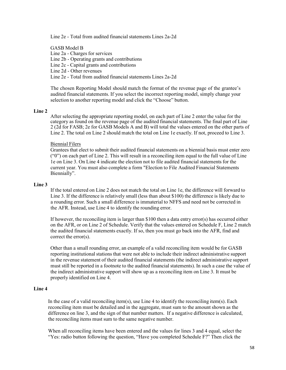Line 2e - Total from audited financial statements Lines 2a-2d

GASB Model B Line 2a - Charges for services Line 2b - Operating grants and contributions Line 2c - Capital grants and contributions Line 2d - Other revenues Line 2e - Total from audited financial statements Lines 2a-2d

The chosen Reporting Model should match the format of the revenue page of the grantee's audited financial statements. If you select the incorrect reporting model, simply change your selection to another reporting model and click the "Choose" button.

### **Line 2**

After selecting the appropriate reporting model, on each part of Line 2 enter the value for the category as found on the revenue page of the audited financial statements. The final part of Line 2 (2d for FASB; 2e for GASB Models A and B) will total the values entered on the other parts of Line 2. The total on Line 2 should match the total on Line 1e exactly. If not, proceed to Line 3.

### Biennial Filers

Grantees that elect to submit their audited financial statements on a biennial basis must enter zero ("0") on each part of Line 2. This will result in a reconciling item equal to the full value of Line 1e on Line 3. On Line 4 indicate the election not to file audited financial statements for the current year. You must also complete a form "Election to File Audited Financial Statements Biennially".

#### **Line 3**

If the total entered on Line 2 does not match the total on Line 1e, the difference will forward to Line 3. If the difference is relatively small (less than about \$100) the difference is likely due to a rounding error. Such a small difference is immaterial to NFFS and need not be corrected in the AFR. Instead, use Line 4 to identify the rounding error.

If however, the reconciling item is larger than \$100 then a data entry error(s) has occurred either on the AFR, or on Line 2 of Schedule. Verify that the values entered on Schedule F, Line 2 match the audited financial statements exactly. If so, then you must go back into the AFR, find and correct the error(s).

Other than a small rounding error, an example of a valid reconciling item would be for GASB reporting institutional stations that were not able to include their indirect administrative support in the revenue statement of their audited financial statements (the indirect administrative support must still be reported in a footnote to the audited financial statements). In such a case the value of the indirect administrative support will show up as a reconciling item on Line 3. It must be properly identified on Line 4.

#### **Line 4**

In the case of a valid reconciling item(s), use Line 4 to identify the reconciling item(s). Each reconciling item must be detailed and in the aggregate, must sum to the amount shown as the difference on line 3, and the sign of that number matters. If a negative difference is calculated, the reconciling items must sum to the same negative number.

When all reconciling items have been entered and the values for lines 3 and 4 equal, select the "Yes: radio button following the question, "Have you completed Schedule F?" Then click the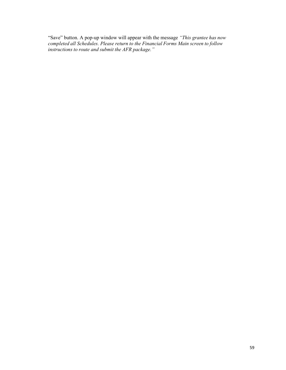"Save" button. A pop-up window will appear with the message *"This grantee has now completed all Schedules. Please return to the Financial Forms Main screen to follow instructions to route and submit the AFR package."*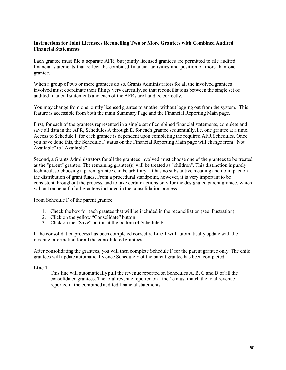# **Instructions for Joint Licensees Reconciling Two or More Grantees with Combined Audited Financial Statements**

Each grantee must file a separate AFR, but jointly licensed grantees are permitted to file audited financial statements that reflect the combined financial activities and position of more than one grantee.

When a group of two or more grantees do so, Grants Administrators for all the involved grantees involved must coordinate their filings very carefully, so that reconciliations between the single set of audited financial statements and each of the AFRs are handled correctly.

You may change from one jointly licensed grantee to another without logging out from the system. This feature is accessible from both the main Summary Page and the Financial Reporting Main page.

First, for each of the grantees represented in a single set of combined financial statements, complete and save all data in the AFR, Schedules A through E, for each grantee sequentially, i.e. one grantee at a time. Access to Schedule F for each grantee is dependent upon completing the required AFR Schedules. Once you have done this, the Schedule F status on the Financial Reporting Main page will change from "Not Available" to "Available".

Second, a Grants Administrators for all the grantees involved must choose one of the grantees to be treated as the "parent" grantee. The remaining grantee(s) will be treated as "children". This distinction is purely technical, so choosing a parent grantee can be arbitrary. It has no substantive meaning and no impact on the distribution of grant funds. From a procedural standpoint, however, it is very important to be consistent throughout the process, and to take certain actions only for the designated parent grantee, which will act on behalf of all grantees included in the consolidation process.

From Schedule F of the parent grantee:

- 1. Check the box for each grantee that will be included in the reconciliation (see illustration).
- 2. Click on the yellow "Consolidate" button.
- 3. Click on the "Save" button at the bottom of Schedule F.

If the consolidation process has been completed correctly, Line 1 will automatically update with the revenue information for all the consolidated grantees.

After consolidating the grantees, you will then complete Schedule F for the parent grantee only. The child grantees will update automatically once Schedule F of the parent grantee has been completed.

### **Line 1**

This line will automatically pull the revenue reported on Schedules A, B, C and D of all the consolidated grantees. The total revenue reported on Line 1e must match the total revenue reported in the combined audited financial statements.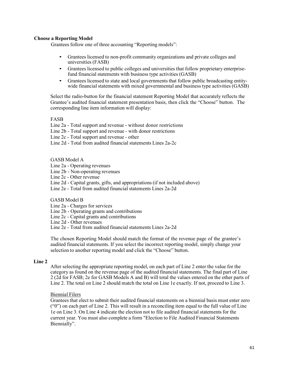### **Choose a Reporting Model**

Grantees follow one of three accounting "Reporting models":

- Grantees licensed to non-profit community organizations and private colleges and universities (FASB)
- Grantees licensed to public colleges and universities that follow proprietary enterprisefund financial statements with business type activities (GASB)
- Grantees licensed to state and local governments that follow public broadcasting entitywide financial statements with mixed governmental and business type activities (GASB)

Select the radio-button for the financial statement Reporting Model that accurately reflects the Grantee's audited financial statement presentation basis, then click the "Choose" button. The corresponding line item information will display:

FASB

Line 2a - Total support and revenue - without donor restrictions

Line 2b - Total support and revenue - with donor restrictions

Line 2c - Total support and revenue - other

Line 2d - Total from audited financial statements Lines 2a-2c

### GASB Model A

Line 2a - Operating revenues

Line 2b - Non-operating revenues

Line 2c - Other revenue

Line 2d - Capital grants, gifts, and appropriations (if not included above)

Line 2e - Total from audited financial statements Lines 2a-2d

GASB Model B

- Line 2a Charges for services
- Line 2b Operating grants and contributions

Line 2c - Capital grants and contributions

Line 2d - Other revenues

Line 2e - Total from audited financial statements Lines 2a-2d

The chosen Reporting Model should match the format of the revenue page of the grantee's audited financial statements. If you select the incorrect reporting model, simply change your selection to another reporting model and click the "Choose" button.

### **Line 2**

After selecting the appropriate reporting model, on each part of Line 2 enter the value for the category as found on the revenue page of the audited financial statements. The final part of Line 2 (2d for FASB; 2e for GASB Models A and B) will total the values entered on the other parts of Line 2. The total on Line 2 should match the total on Line 1e exactly. If not, proceed to Line 3.

### Biennial Filers

Grantees that elect to submit their audited financial statements on a biennial basis must enter zero ("0") on each part of Line 2. This will result in a reconciling item equal to the full value of Line 1e on Line 3. On Line 4 indicate the election not to file audited financial statements for the current year. You must also complete a form "Election to File Audited Financial Statements Biennially".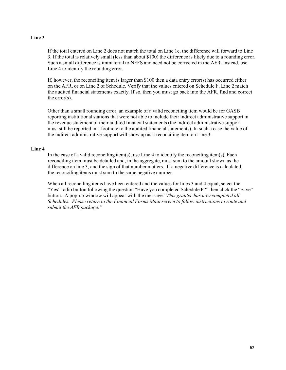# **Line 3**

If the total entered on Line 2 does not match the total on Line 1e, the difference will forward to Line 3. If the total is relatively small (less than about \$100) the difference is likely due to a rounding error. Such a small difference is immaterial to NFFS and need not be corrected in the AFR. Instead, use Line 4 to identify the rounding error.

If, however, the reconciling item is larger than \$100 then a data entry error(s) has occurred either on the AFR, or on Line 2 of Schedule. Verify that the values entered on Schedule F, Line 2 match the audited financial statements exactly. If so, then you must go back into the AFR, find and correct the error(s).

Other than a small rounding error, an example of a valid reconciling item would be for GASB reporting institutional stations that were not able to include their indirect administrative support in the revenue statement of their audited financial statements (the indirect administrative support must still be reported in a footnote to the audited financial statements). In such a case the value of the indirect administrative support will show up as a reconciling item on Line 3.

### **Line 4**

In the case of a valid reconciling item(s), use Line 4 to identify the reconciling item(s). Each reconciling item must be detailed and, in the aggregate, must sum to the amount shown as the difference on line 3, and the sign of that number matters. If a negative difference is calculated, the reconciling items must sum to the same negative number.

When all reconciling items have been entered and the values for lines 3 and 4 equal, select the "Yes" radio button following the question "Have you completed Schedule F?" then click the "Save" button. A pop-up window will appear with the message *"This grantee has now completed all Schedules. Please return to the Financial Forms Main screen to follow instructions to route and submit the AFR package."*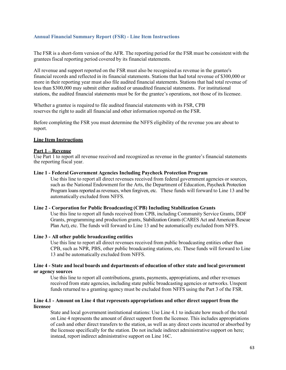### **Annual Financial Summary Report (FSR) - Line Item Instructions**

The FSR is a short-form version of the AFR. The reporting period for the FSR must be consistent with the grantees fiscal reporting period covered by its financial statements.

All revenue and support reported on the FSR must also be recognized as revenue in the grantee's financial records and reflected in its financial statements. Stations that had total revenue of \$300,000 or more in their reporting year must also file audited financial statements. Stations that had total revenue of less than \$300,000 may submit either audited or unaudited financial statements. For institutional stations, the audited financial statements must be for the grantee's operations, not those of its licensee.

Whether a grantee is required to file audited financial statements with its FSR, CPB reserves the right to audit all financial and other information reported on the FSR.

Before completing the FSR you must determine the NFFS eligibility of the revenue you are about to report.

### **Line Item Instructions**

### **Part 1 – Revenue**

Use Part 1 to report all revenue received and recognized as revenue in the grantee's financial statements the reporting fiscal year.

#### **Line 1 - Federal Government Agencies Including Paycheck Protection Program**

Use this line to report all direct revenues received from federal government agencies or sources, such as the National Endowment for the Arts, the Department of Education, Paycheck Protection Program loans reported as revenues, when forgiven, etc. These funds will forward to Line 13 and be automatically excluded from NFFS.

### **Line 2 - Corporation for Public Broadcasting (CPB) Including Stabilization Grants**

Use this line to report all funds received from CPB, including Community Service Grants, DDF Grants, programming and production grants, Stabilization Grants(CARES Act and American Rescue Plan Act), etc. The funds will forward to Line 13 and be automatically excluded from NFFS.

#### **Line 3 - All other public broadcasting entities**

Use this line to report all direct revenues received from public broadcasting entities other than CPB, such as NPR, PBS, other public broadcasting stations, etc. These funds will forward to Line 13 and be automatically excluded from NFFS.

# **Line 4 - State and local boards and departments of education of other state and local government or agency sources**

Use this line to report all contributions, grants, payments, appropriations, and other revenues received from state agencies, including state public broadcasting agencies or networks. Unspent funds returned to a granting agency must be excluded from NFFS using the Part 3 of the FSR.

### **Line 4.1 - Amount on Line 4 that represents appropriations and other direct support from the licensee**

State and local government institutional stations: Use Line 4.1 to indicate how much of the total on Line 4 represents the amount of direct support from the licensee. This includes appropriations of cash and other direct transfers to the station, as well as any direct costs incurred or absorbed by the licensee specifically for the station. Do not include indirect administrative support on here; instead, report indirect administrative support on Line 16C.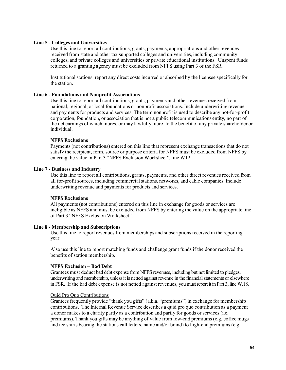### **Line 5 - Colleges and Universities**

Use this line to report all contributions, grants, payments, appropriations and other revenues received from state and other tax supported colleges and universities, including community colleges, and private colleges and universities or private educational institutions. Unspent funds returned to a granting agency must be excluded from NFFS using Part 3 of the FSR.

Institutional stations: report any direct costs incurred or absorbed by the licensee specifically for the station.

### **Line 6 - Foundations and Nonprofit Associations**

Use this line to report all contributions, grants, payments and other revenues received from national, regional, or local foundations or nonprofit associations. Include underwriting revenue and payments for products and services. The term nonprofit is used to describe any not-for-profit corporation, foundation, or association that is not a public telecommunications entity, no part of the net earnings of which inures, or may lawfully inure, to the benefit of any private shareholder or individual.

# **NFFS Exclusions**

Payments (not contributions) entered on this line that represent exchange transactions that do not satisfy the recipient, form, source or purpose criteria for NFFS must be excluded from NFFS by entering the value in Part 3 "NFFS Exclusion Worksheet", line W12.

### **Line 7 - Business and Industry**

Use this line to report all contributions, grants, payments, and other direct revenues received from all for-profit sources, including commercial stations, networks, and cable companies. Include underwriting revenue and payments for products and services.

# **NFFS Exclusions**

All payments (not contributions) entered on this line in exchange for goods or services are ineligible as NFFS and must be excluded from NFFS by entering the value on the appropriate line of Part 3 "NFFS Exclusion Worksheet".

#### **Line 8 - Membership and Subscriptions**

Use this line to report revenues from memberships and subscriptions received in the reporting year.

Also use this line to report matching funds and challenge grant funds if the donor received the benefits of station membership.

### **NFFS Exclusion – Bad Debt**

Grantees must deduct bad debt expense from NFFS revenues, including but not limited to pledges, underwriting and membership, unless it is netted against revenue in the financial statements or elsewhere in FSR. If the bad debt expense is not netted against revenues, you must report it in Part 3, line W.18.

#### Quid Pro Quo Contributions

Grantees frequently provide "thank you gifts" (a.k.a. "premiums") in exchange for membership contributions. The Internal Revenue Service describes a quid pro quo contribution as a payment a donor makes to a charity partly as a contribution and partly for goods or services (i.e. premiums). Thank you gifts may be anything of value from low-end premiums (e.g. coffee mugs and tee shirts bearing the stations call letters, name and/or brand) to high-end premiums (e.g.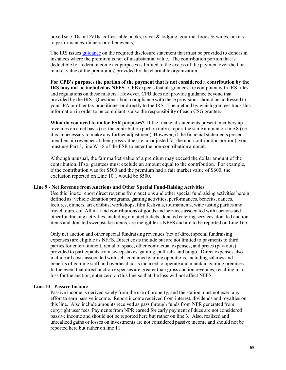boxed set CDs or DVDs, coffee-table books, travel & lodging, gourmet foods & wines, tickets to performances, dinners or other events).

The IRS issues [guidance](https://www.irs.gov/pub/irs-pdf/p1771.pdf) on the required disclosure statement that must be provided to donors in instances where the premium is not of insubstantial value. The contribution portion that is deductible for federal income tax purposes is limited to the excess of the payment over the fair market value of the premium(s) provided by the charitable organization.

**For CPB's purposes the portion of the payment that is not considered a contribution by the IRS may not be included as NFFS.** CPB expects that all grantees are compliant with IRS rules and regulations on these matters. However, CPB does not provide guidance beyond that provided by the IRS. Questions about compliance with these provisions should be addressed to your IPA or other tax practitioner or directly to the IRS. The method by which grantees track this information in order to be compliant is also the responsibility of each CSG grantee.

**What do you need to do for FSR purposes?** If the financial statements present membership revenues on a net basis (i.e. the contribution portion only), report the same amount on line 8 (i.e. it is unnecessary to make any further adjustment). However, if the financial statements present membership revenues at their gross value (i.e. unadjusted for the non-contribution portion), you must use Part 3, line W.18 of the FSR to enter the non-contribution amount.

Although unusual, the fair market value of a premium may exceed the dollar amount of the contribution. If so, grantees must exclude an amount equal to the contribution. For example, if the contribution was for \$500 and the premium had a fair market value of \$600, the exclusion reported on Line 10.1 would be \$500.

### **Line 9 - Net Revenue from Auctions and Other Special Fund-Raising Activities**

Use this line to report direct revenue from auctions and other special fundraising activities herein defined as: vehicle donation programs, gaming activities, performances, benefits, dances, lectures, dinners, art exhibits, workshops, film festivals, tournaments, wine tasting parties and travel tours, etc. All in- kind contributions of goods and services associated with auctions and other fundraising activities, including donated tickets, donated catering services, donated auction items and donated sweepstakes items, are ineligible as NFFS and are to be reported on Line 16b.

Only net auction and other special fundraising revenues (net of direct special fundraising expenses) are eligible as NFFS. Direct costs include but are not limited to payments to third parties for entertainment, rental of space, other contractual expenses, and prizes (pay-outs) provided to participants from sweepstakes, gaming, pull-tabs and bingo. Direct expenses also include all costs associated with self-contained gaming operations, including salaries and benefits of gaming staff and overhead costs incurred to operate and maintain gaming premises. In the event that direct auction expenses are greater than gross auction revenues, resulting in a loss for the auction, enter zero on this line so that the loss will not affect NFFS.

### **Line 10 - Passive Income**

Passive income is derived solely from the use of property, and the station must not exert any effort to earn passive income. Report income received from interest, dividends and royalties on this line. Also include amounts received as pass through funds from NPR generated from copyright user fees. Payments from NPR earned for early payment of dues are not considered passive income and should not be reported here but rather on line 3. Also, realized and unrealized gains or losses on investments are not considered passive income and should not be reported here but rather on line 11.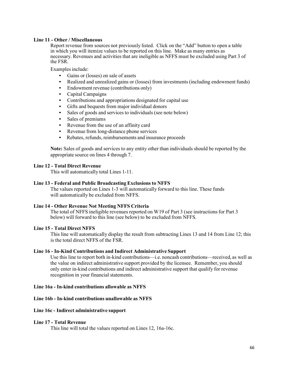### **Line 11 - Other / Miscellaneous**

Report revenue from sources not previously listed. Click on the "Add" button to open a table in which you will itemize values to be reported on this line. Make as many entries as necessary. Revenues and activities that are ineligible as NFFS must be excluded using Part 3 of the FSR.

Examples include:

- Gains or (losses) on sale of assets
- Realized and unrealized gains or (losses) from investments (including endowment funds)
- Endowment revenue (contributions only)
- Capital Campaigns
- Contributions and appropriations designated for capital use
- Gifts and bequests from major individual donors
- Sales of goods and services to individuals (see note below)
- Sales of premiums
- Revenue from the use of an affinity card<br>• Revenue from long-distance phone service
- Revenue from long-distance phone services
- Rebates, refunds, reimbursements and insurance proceeds

**Note:** Sales of goods and services to any entity other than individuals should be reported by the appropriate source on lines 4 through 7.

### **Line 12 - Total Direct Revenue**

This will automatically total Lines 1-11.

### **Line 13 - Federal and Public Broadcasting Exclusions to NFFS**

The values reported on Lines 1-3 will automatically forward to this line. These funds will automatically be excluded from NFFS.

### **Line 14 - Other Revenue Not Meeting NFFS Criteria**

The total of NFFS ineligible revenues reported on W19 of Part 3 (see instructions for Part 3 below) will forward to this line (see below) to be excluded from NFFS.

### **Line 15 - Total Direct NFFS**

This line will automatically display the result from subtracting Lines 13 and 14 from Line 12; this is the total direct NFFS of the FSR.

### **Line 16 - In-Kind Contributions and Indirect Administrative Support**

Use this line to report both in-kind contributions—i.e. noncash contributions—received, as well as the value on indirect administrative support provided by the licensee. Remember, you should only enter in-kind contributions and indirect administrative support that qualify for revenue recognition in your financial statements.

### **Line 16a - In-kind contributions allowable as NFFS**

### **Line 16b - In-kind contributions unallowable as NFFS**

### **Line 16c - Indirect administrative support**

### **Line 17 - Total Revenue**

This line will total the values reported on Lines 12, 16a-16c.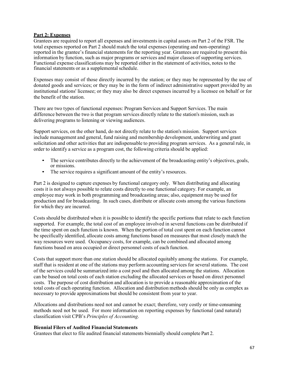# **Part 2: Expenses**

Grantees are required to report all expenses and investmentsin capital assets on Part 2 of the FSR. The total expenses reported on Part 2 should match the total expenses (operating and non-operating) reported in the grantee's financial statements for the reporting year. Grantees are required to present this information by function, such as major programs or services and major classes of supporting services. Functional expense classifications may be reported either in the statement of activities, notes to the financial statements or as a supplemental schedule.

Expenses may consist of those directly incurred by the station; or they may be represented by the use of donated goods and services; or they may be in the form of indirect administrative support provided by an institutional stations' licensee; or they may also be direct expenses incurred by a licensee on behalf or for the benefit of the station.

There are two types of functional expenses: Program Services and Support Services. The main difference between the two is that program services directly relate to the station's mission, such as delivering programs to listening or viewing audiences.

Support services, on the other hand, do not directly relate to the station's mission. Support services include management and general, fund raising and membership development, underwriting and grant solicitation and other activities that are indispensable to providing program services. As a general rule, in order to identify a service as a program cost, the following criteria should be applied:

- The service contributes directly to the achievement of the broadcasting entity's objectives, goals, or missions.
- The service requires a significant amount of the entity's resources.

Part 2 is designed to capture expenses by functional category only. When distributing and allocating costs it is not always possible to relate costs directly to one functional category. For example, an employee may work in both programming and broadcasting areas; also, equipment may be used for production and for broadcasting. In such cases, distribute or allocate costs among the various functions for which they are incurred.

Costs should be distributed when it is possible to identify the specific portions that relate to each function supported. For example, the total cost of an employee involved in several functions can be distributed if the time spent on each function is known. When the portion of total cost spent on each function cannot be specifically identified, allocate costs among functions based on measures that most closely match the way resources were used. Occupancy costs, for example, can be combined and allocated among functions based on area occupied or direct personnel costs of each function.

Costs that support more than one station should be allocated equitably among the stations. For example, staff that is resident at one of the stations may perform accounting services for several stations. The cost of the services could be summarized into a cost pool and then allocated among the stations. Allocation can be based on total costs of each station excluding the allocated services or based on direct personnel costs. The purpose of cost distribution and allocation is to provide a reasonable approximation of the total costs of each operating function. Allocation and distribution methods should be only as complex as necessary to provide approximations but should be consistent from year to year.

Allocations and distributions need not and cannot be exact; therefore, very costly or time-consuming methods need not be used. For more information on reporting expenses by functional (and natural) classification visit CPB's *Principles of Accounting*.

# **Biennial Filers of Audited Financial Statements**

Grantees that elect to file audited financial statements biennially should complete Part 2.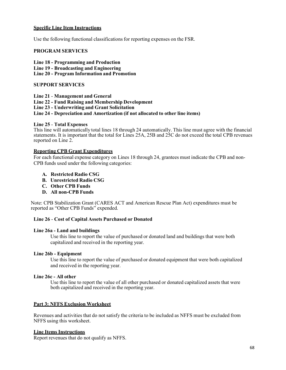### **Specific Line Item Instructions**

Use the following functional classifications for reporting expenses on the FSR.

### **PROGRAM SERVICES**

- **Line 18 - Programming and Production**
- **Line 19 - Broadcasting and Engineering**
- **Line 20 - Program Information and Promotion**

### **SUPPORT SERVICES**

- **Line 21 Management and General**
- **Line 22 - Fund Raising and Membership Development**
- **Line 23 - Underwriting and Grant Solicitation**

### **Line 24 - Depreciation and Amortization (if not allocated to other line items)**

### **Line 25** - **Total Expenses**

This line will automatically total lines 18 through 24 automatically. This line must agree with the financial statements. It is important that the total for Lines 25A, 25B and 25C do not exceed the total CPB revenues reported on Line 2.

### **Reporting CPB Grant Expenditures**

For each functional expense category on Lines 18 through 24, grantees must indicate the CPB and non-CPB funds used under the following categories:

- **A. Restricted Radio CSG**
- **B. Unrestricted Radio CSG**
- **C. Other CPB Funds**
- **D. All non-CPB Funds**

Note: CPB Stabilization Grant (CARES ACT and American Rescue Plan Act) expenditures must be reported as "Other CPB Funds" expended.

# **Line 26** - **Cost of Capital Assets Purchased or Donated**

### **Line 26a - Land and buildings**

Use this line to report the value of purchased or donated land and buildings that were both capitalized and received in the reporting year.

### **Line 26b - Equipment**

Use this line to report the value of purchased or donated equipment that were both capitalized and received in the reporting year.

### **Line 26c - All other**

Use this line to report the value of all other purchased or donated capitalized assets that were both capitalized and received in the reporting year.

### **Part 3: NFFS Exclusion Worksheet**

Revenues and activities that do not satisfy the criteria to be included as NFFS must be excluded from NFFS using this worksheet.

### **Line Items Instructions**

Report revenues that do not qualify as NFFS.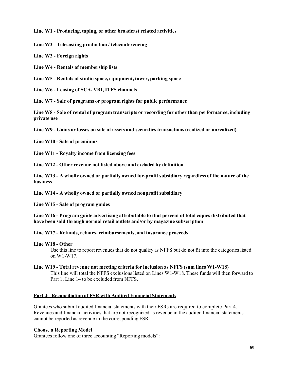**Line W1 - Producing, taping, or other broadcast related activities**

**Line W2 - Telecasting production / teleconferencing**

**Line W3 - Foreign rights**

**Line W4 - Rentals of membership lists**

**Line W5 - Rentals of studio space, equipment, tower, parking space**

**Line W6 - Leasing of SCA, VBI, ITFS channels**

**Line W7 - Sale of programs or program rights for public performance**

**Line W8 - Sale of rental of program transcripts or recording for other than performance, including private use**

**Line W9 - Gains or losses on sale of assets and securities transactions (realized or unrealized)** 

**Line W10 - Sale of premiums**

**Line W11 - Royalty income from licensing fees**

**Line W12 - Other revenue not listed above and excluded by definition**

**Line W13 - A wholly owned or partially owned for-profit subsidiary regardless of the nature of the business**

**Line W14 - A wholly owned or partially owned nonprofit subsidiary**

**Line W15 - Sale of program guides**

**Line W16 - Program guide advertising attributable to that percent of total copies distributed that have been sold through normal retail outlets and/or by magazine subscription**

**Line W17 - Refunds, rebates, reimbursements, and insurance proceeds**

### **Line W18 - Other**

Use this line to report revenues that do not qualify as NFFS but do not fit into the categories listed on W1-W17.

# **Line W19 - Total revenue not meeting criteria for inclusion as NFFS (sum lines W1-W18)**

This line will total the NFFS exclusions listed on Lines W1-W18. These funds will then forward to Part 1, Line 14 to be excluded from NFFS.

# **Part 4: Reconciliation of FSR with Audited Financial Statements**

Grantees who submit audited financial statements with their FSRs are required to complete Part 4. Revenues and financial activities that are not recognized as revenue in the audited financial statements cannot be reported as revenue in the corresponding FSR.

# **Choose a Reporting Model**

Grantees follow one of three accounting "Reporting models":